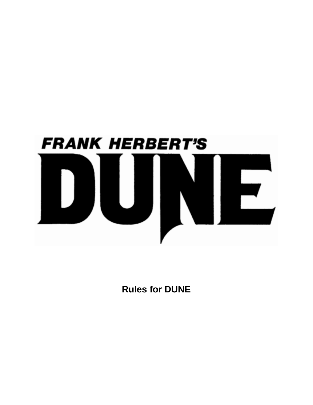

**Rules for DUNE**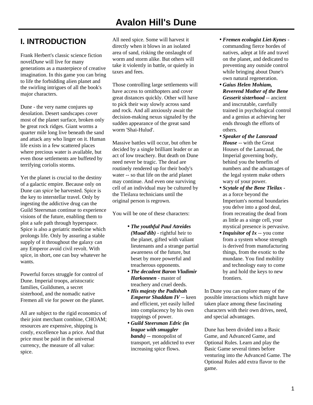## **I. INTRODUCTION**

Frank Herbert's classic science fiction novel*Dune* will live for many generations as a masterpiece of creative imagination. In this game you can bring to life the forbidding alien planet and the swirling intrigues of all the book's major characters.

Dune - the very name conjures up desolation. Desert sandscapes cover most of the planet surface, broken only be great rock ridges. Giant worms a quarter mile long live beneath the sand and attack any who linger on it. Human life exists in a few scattered places where precious water is available, but even those settlements are buffeted by terrifying coriolis storms.

Yet the planet is crucial to the destiny of a galactic empire. Because only on Dune can *spice* be harvested. Spice is the key to interstellar travel. Only by ingesting the addictive drug can the Guild Steersman continue to experience visions of the future, enabling them to plot a safe path through hyperspace. Spice is also a geriatric medicine which prolongs life. Only by assuring a stable supply of it throughout the galaxy can any Emperor avoid civil revolt. With spice, in short, one can buy whatever he wants.

Powerful forces struggle for control of Dune. Imperial troops, aristocratic families, Guildsmen, a secret sisterhood, and the nomadic native Fremen all vie for power on the planet.

All are subject to the rigid economics of their joint merchant combine, CHOAM; resources are expensive, shipping is costly, excellence has a price. And that price must be paid in the universal currency, the measure of all value: spice.

All need spice. Some will harvest it directly when it blows in an isolated area of sand, risking the onslaught of worm and storm alike. But others will take it violently in battle, or quietly in taxes and fees.

Those controlling large settlements will have access to ornithopters and cover great distances quickly. Other will have to pick their way slowly across sand and rock. And all anxiously await the decision-making nexus signaled by the sudden appearance of the great sand worm 'Shai-Hulud'.

Massive battles will occur, but often be decided by a single brilliant leader or an act of low treachery. But death on Dune need never be tragic. The dead are routinely rendered up for their body's water -- so that life on the arid planet may continue. And even one surviving cell of an individual may be cultured by the Tleilaxu technicians until the original person is regrown.

You will be one of these characters:

- *The youthful Paul Atreides (Muad'dib)* - rightful heir to the planet, gifted with valiant lieutenants and a strange partial awareness of the future, but beset by more powerful and treacherous opponents.
- *The decadent Baron Vladimir Harkonnen* - master of treachery and cruel deeds.
- *His majesty the Padishah Emperor Shaddam IV* -- keen and efficient, yet easily lulled into complacency by his own trappings of power.
- *Guild Steersman Edric (in league with smuggler bands)* -- monopolist of transport, yet addicted to ever increasing spice flows.
- *Fremen ecologist Liet-Kynes* commanding fierce hordes of natives, adept at life and travel on the planet, and dedicated to preventing any outside control while bringing about Dune's own natural regeneration.
- *Gaius Helen Mohiam, Reverend Mother of the Bene Gesserit sisterhood* -- ancient and inscrutable, carefully trained in psychological control and a genius at achieving her ends through the efforts of others.
- *Speaker of the Lansraad House* -- with the Great Houses of the Lansraad, the Imperial governing body, behind you the benefits of numbers and the advantages of the legal system make others wary of your power.
- *Scytale of the Bene Tleilax* as a force beyond the Imperium's normal boundaries you delve into a good deal, from recreating the dead from as little as a singe cell, your mystical presence is pervasive.
- *Inquisitor of Ix* -- you come from a system whose strength is derived from manufacturing things, from the exotic to the mundane. You find mobility and technology easy to come by and hold the keys to new frontiers.

In Dune you can explore many of the possible interactions which might have taken place among these fascinating characters with their own drives, need, and special advantages.

Dune has been divided into a Basic Game, and Advanced Game, and Optional Rules. Learn and play the Basic Game several times before venturing into the Advanced Game. The Optional Rules add extra flavor to the game.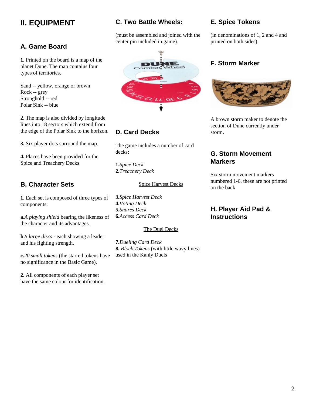## **II. EQUIPMENT**

### **A. Game Board**

**1.** Printed on the board is a map of the planet Dune. The map contains four types of territories.

Sand -- yellow, orange or brown Rock -- grey Stronghold -- red Polar Sink -- blue

**2.** The map is also divided by longitude lines into 18 sectors which extend from the edge of the Polar Sink to the horizon.

**3.** Six player dots surround the map.

**4.** Places have been provided for the Spice and Treachery Decks

## **B. Character Sets**

**1.** Each set is composed of three types of components:

**a.***A playing shield* bearing the likeness of the character and its advantages.

**b.***5 large discs* - each showing a leader and his fighting strength.

**c.***20 small tokens* (the starred tokens have no significance in the Basic Game).

**2.** All components of each player set have the same colour for identification.

### **C. Two Battle Wheels:**

(must be assembled and joined with the center pin included in game).



### **D. Card Decks**

The game includes a number of card decks:

**1.***Spice Deck* **2.***Treachery Deck*

#### Spice Harvest Decks

**3.***Spice Harvest Deck* **4.***Voting Deck* **5.***Shares Deck* **6.***Access Card Deck*

#### The Duel Decks

**7.***Dueling Card Deck* **8.** *Block Tokens* (with little wavy lines) used in the Kanly Duels

### **E. Spice Tokens**

(in denominations of 1, 2 and 4 and printed on both sides).

### **F. Storm Marker**



A brown storm maker to denote the section of Dune currently under storm.

### **G. Storm Movement Markers**

Six storm movement markers numbered 1-6, these are not printed on the back

### **H. Player Aid Pad & Instructions**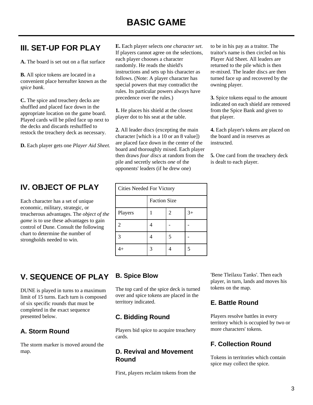## **III. SET-UP FOR PLAY**

**A.** The board is set out on a flat surface

**B.** All spice tokens are located in a convenient place hereafter known as the *spice bank*.

**C.** The spice and treachery decks are shuffled and placed face down in the appropriate location on the game board. Played cards will be piled face up next to the decks and discards reshuffled to restock the treachery deck as necessary.

**D.** Each player gets one *Player Aid Sheet.*

## **IV. OBJECT OF PLAY**

Each character has a set of unique economic, military, strategic, or treacherous advantages. The *object of the game* is to use these advantages to gain control of Dune. Consult the following chart to determine the number of strongholds needed to win.

## **V. SEQUENCE OF PLAY**

DUNE is played in turns to a maximum limit of 15 turns. Each turn is composed of six specific rounds that must be completed in the exact sequence presented below.

## **A. Storm Round**

The storm marker is moved around the map.

**E.** Each player selects *one character set*. If players cannot agree on the selections, each player chooses a character randomly. He reads the shield's instructions and sets up his character as follows. (Note: A player character has special powers that may contradict the rules. Its particular powers always have precedence over the rules.)

**1.** He places his shield at the closest player dot to his seat at the table.

**2.** All leader discs (excepting the main character [which is a 10 or an 8 value]) are placed face down in the center of the board and thoroughly mixed. Each player then draws *four discs* at random from the pile and secretly selects *one* of the opponents' leaders (if he drew one)

| <b>Cities Needed For Victory</b> |                     |   |      |
|----------------------------------|---------------------|---|------|
|                                  | <b>Faction Size</b> |   |      |
| Players                          |                     | 2 | $3+$ |
| 2                                |                     |   |      |
| 3                                |                     | 5 |      |
| $\overline{4}$                   |                     |   |      |

to be in his pay as a traitor. The traitor's name is then circled on his Player Aid Sheet. All leaders are returned to the pile which is then re-mixed. The leader discs are then turned face up and recovered by the owning player.

**3.** Spice tokens equal to the amount indicated on each shield are removed from the Spice Bank and given to that player.

**4.** Each player's tokens are placed on the board and in reserves as instructed.

**5.** One card from the treachery deck is dealt to each player.

## **B. Spice Blow**

The top card of the spice deck is turned over and spice tokens are placed in the territory indicated.

### **C. Bidding Round**

Players bid spice to acquire treachery cards.

### **D. Revival and Movement Round**

First, players reclaim tokens from the

'Bene Tleilaxu Tanks'. Then each player, in turn, lands and moves his tokens on the map.

## **E. Battle Round**

Players resolve battles in every territory which is occupied by two or more characters' tokens.

## **F. Collection Round**

Tokens in territories which contain spice may collect the spice.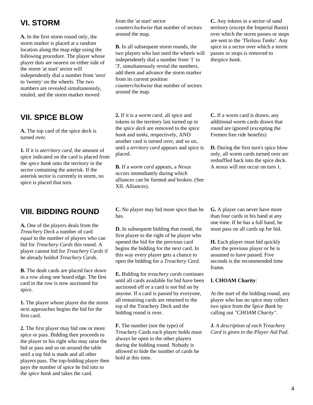## **VI. STORM**

**A.** In the first storm round only, the storm marker is placed at a random location along the map edge using the following procedure. The player whose player dots are nearest on either side of the storm 'at start' sector will independently dial a number from 'zero' to 'twenty' on the wheels. The two numbers are revealed simultaneously, totaled, and the storm marker moved

## **VII. SPICE BLOW**

**A.** The top card of the spice deck is turned over.

**1.** If it is a*territory card*, the amount of spice indicated on the card is placed from the *spice bank* onto the territory in the sector containing the asterisk. If the asterisk sector is currently in storm, no spice is placed that turn.

## **VIII. BIDDING ROUND**

**A.** One of the players deals from the *Treachery Deck* a number of card *equal* to the number of players who can bid for *Treachery Cards* this round. A player cannot bid for *Treachery Cards* if he already holds*4 Treachery Cards*.

**B.** The dealt cards are placed face down in a row along one board edge. The first card in the row is now auctioned for spice.

**1.** The player whose player dot the storm next approaches begins the bid for the first card.

**2.** The first player may bid one or more spice or pass. Bidding then proceeds to the player to his right who may raise the bid or pass and so on around the table until a top bid is made and all other players pass. The top-bidding player then pays the number of spice he bid into to the *spice bank* and takes the card.

from the 'at start' sector *counterclockwise* that number of sectors around the map.

**B.** In all subsequent storm rounds, the two players who last used the wheels will independently dial a number from '1' to '3', simultaneously reveal the numbers, add them and advance the storm marker from its current position *counterclockwise* that number of sectors around the map.

**C.** Any tokens in a sector of sand territory (except the Imperial Basin) over which the storm passes or stops are sent to the *'Tleilaxu Tanks'*. Any spice in a sector over which a storm passes or stops is removed to the*spice bank*.

**2.** If it is a *worm card*, all spice and tokens in the territory last turned up in the *spice deck* are removed to the *spice bank* and *tanks*, respectively, AND another card is turned over, and so on, until a *territory card* appears and spice is placed.

**B.** If a *worm card* appears, a *Nexus* occurs immediately during which alliances can be formed and broken. (See XII. Alliances).

**C.** No player may bid more spice than he has.

**D.** In subsequent bidding that round, the first player to the right of he player who opened the bid for the previous card begins the bidding for the next card. In this way every player gets a chance to open the bidding for a *Treachery Card*.

**E.** Bidding for *treachery cards* continues until all cards available for bid have been auctioned off or a card is not bid on by anyone. If a card is passed by everyone, all remaining cards are returned to the top of the Treachery Deck and the bidding round is over.

**F.** The number (not the type) of Treachery Cards each player holds must always be open to the other players during the bidding round. Nobody is allowed to hide the number of cards he hold at this time.

**C.** If a worm card is drawn, any additional worm cards drawn that round are ignored (excepting the Fremen free ride benefits)

**D.** During the first turn's spice blow only, all worm cards turned over are reshuffled back into the spice deck. A *nexus* will not occur on turn 1.

**G.** A player can never have more than four cards in his hand at any one time. If he has a full hand, he must pass on all cards up for bid.

**H.** Each player must bid quickly after the previous player or he is assumed to have passed. Five seconds is the recommended time frame**.**

#### **I. CHOAM Charity**:

At the start of the bidding round, any player who has no spice may collect two spice from the *Spice Bank* by calling out *"CHOAM Charity"*.

**J.** *A description of each Treachery Card is given in the Player Aid Pad*.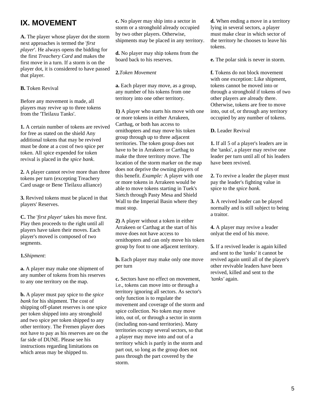## **IX. MOVEMENT**

**A.** The player whose player dot the storm next approaches is termed the '*first player*'. He always opens the bidding for the first *Treachery Card* and makes the first move in a turn. If a storm is on the player dot, it is considered to have passed that player.

#### **B.** Token Revival

Before any movement is made, all players may revive up to three tokens from the 'Tleilaxu Tanks'.

**1.** A certain number of tokens are revived for free as stated on the shield Any additional tokens that may be revived must be done at a cost of two spice per token. All spice expended for token revival is placed in the *spice bank*.

**2.** A player cannot revive more than three tokens per turn (excepting Treachery Card usage or Bene Tleilaxu alliance)

**3.** Revived tokens must be placed in that players' Reserves.

**C.** The '*first player*' takes his move first. Play then proceeds to the right until all players have taken their moves. Each player's moved is composed of two segments.

#### **1.***Shipment*:

**a.** A player may make one shipment of any number of tokens from his reserves to any one territory on the map.

**b.** A player must pay spice to the *spice bank* for his shipment. The cost of shipping off-planet reserves is one spice per token shipped into any stronghold and two spice per token shipped to any other territory. The Fremen player does not have to pay as his reserves are on the far side of DUNE. Please see his instructions regarding limitations on which areas may be shipped to.

**c.** No player may ship into a sector in storm or a stronghold already occupied by two other players. Otherwise, shipments may be placed in any territory.

**d.** No player may ship tokens from the board back to his reserves.

#### **2.***Token Movement*

**a.** Each player may move, as a group, any number of his tokens from one territory into one other territory.

**1)** A player who starts his move with one or more tokens in either Arrakeen, Carthag, or both has access to ornithopters and may move his token group through up to three adjacent territories. The token group does not have to be in Arrakeen or Carthag to make the three territory move. The location of the storm marker on the map does not deprive the owning players of this benefit. *Example:* A player with one or more tokens in Arrakeen would be able to move tokens starting in Tuek's Sietch through Pasty Mesa and Shield Wall to the Imperial Basin where they must stop.

**2)** A player without a token in either Arrakeen or Carthag at the start of his move does not have access to ornithopters and can only move his token group by foot to one adjacent territory.

**b.** Each player may make only one move per turn

**c.** Sectors have no effect on movement, i.e., tokens can move into or through a territory ignoring all sectors. As sector's only function is to regulate the movement and coverage of the storm and spice collection. No token may move into, out of, or through a sector in storm (including non-sand territories). Many territories occupy several sectors, so that a player may move into and out of a territory which is partly in the storm and part out, so long as the group does not pass through the part covered by the storm.

**d.** When ending a move in a territory lying in several sectors, a player must make clear in which sector of the territory he chooses to leave his tokens.

**e.** The polar sink is never in storm.

**f.** Tokens do not block movement with one exception: Like shipment, tokens cannot be moved into or through a stronghold if tokens of two other players are already there. Otherwise, tokens are free to move into, out of, or through any territory occupied by any number of tokens.

**D.** Leader Revival

**1.** If all 5 of a player's leaders are in the 'tanks', a player may revive one leader per turn until all of his leaders have been revived.

**2.** To revive a leader the player must pay the leader's fighting value in spice to the *spice bank*.

**3.** A revived leader can be played normally and is still subject to being a traitor.

**4.** A player may revive a leader onlyat the end of his move.

**5.** If a revived leader is again killed and sent to the *'tanks'* it cannot be revived again until all of the player's other revivable leaders have been revived, killed and sent to the *'tanks'* again.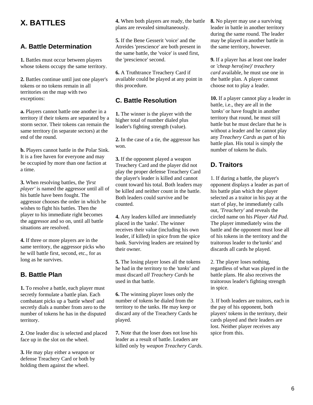## **X. BATTLES**

### **A. Battle Determination**

**1.** Battles must occur between players whose tokens occupy the same territory.

**2.** Battles continue until just one player's tokens or no tokens remain in all territories on the map with two exceptions:

**a.** Players cannot battle one another in a territory if their tokens are separated by a storm sector. Their tokens can remain the same territory (in separate sectors) at the end of the round.

**b.** Players cannot battle in the Polar Sink. It is a free haven for everyone and may be occupied by more than one faction at a time.

**3.** When resolving battles, the *'first player'* is named the aggressor until all of his battle have been fought. The aggressor chooses the order in which he wishes to fight his battles. Then the player to his immediate right becomes the aggressor and so on, until all battle situations are resolved.

**4.** If three or more players are in the same territory, the aggressor picks who he will battle first, second, etc., for as long as he survives.

### **B. Battle Plan**

**1.** To resolve a battle, each player must secretly formulate a battle plan. Each combatant picks up a 'battle wheel' and secretly dials a number from zero to the number of tokens he has in the disputed territory.

**2.** One leader disc is selected and placed face up in the slot on the wheel.

**3.** He may play either a weapon or defense Treachery Card or both by holding them against the wheel.

**4.** When both players are ready, the battle plans are revealed simultaneously.

**5.** If the Bene Gesserit 'voice' and the Atreides 'prescience' are both present in the same battle, the 'voice' is used first, the 'prescience' second.

**6.** A Truthtrance Treachery Card if available could be played at any point in this procedure.

### **C. Battle Resolution**

**1.** The winner is the player with the higher total of number dialed plus leader's fighting strength (value).

**2.** In the case of a tie, the aggressor has won.

**3.** If the opponent played a weapon Treachery Card and the player did not play the proper defense Treachery Card the player's leader is killed and cannot count toward his total. Both leaders may be killed and neither count in the battle. Both leaders could survive and be counted.

**4.** Any leaders killed are immediately placed in the 'tanks'. The winner receives their value (including his own leader, if killed) in spice from the spice bank. Surviving leaders are retained by their owner.

**5.** The losing player loses all the tokens he had in the territory to the *'tanks'* and must discard *all Treachery Cards* he used in that battle.

**6.** The winning player loses only the number of tokens he dialed from the territory to the tanks. He may keep or discard any of the Treachery Cards he played.

**7.** Note that the loser does not lose his leader as a result of battle. Leaders are killed only by *weapon Treachery Cards*. **8.** No player may use a surviving leader in battle in another territory during the same round. The leader may be played in another battle in the same territory, however.

**9.** If a player has at least one leader or *'cheap hero(ine)' treachery card* available, he must use one in the battle plan. A player cannot choose not to play a leader.

**10.** If a player cannot play a leader in battle, i.e., they are all in the *'tanks'* or have fought in another territory that round, he must still battle but he must declare that he is without a leader and he cannot play any *Treachery Cards* as part of his battle plan. His total is simply the number of tokens he dials.

### **D. Traitors**

1. If during a battle, the player's opponent displays a leader as part of his battle plan which the player selected as a traitor in his pay at the start of play, he immediately calls out, *'Treachery'* and reveals the circled name on his *Player Aid Pad*. The player immediately wins the battle and the opponent must lose all of his tokens in the territory and the traitorous leader to the*'tanks'* and discards all cards he played.

2. The player loses nothing, regardless of what was played in the battle plans. He also receives the traitorous leader's fighting strength in spice.

3. If both leaders are traitors, each in the pay of his opponent, both players' tokens in the territory, their cards played and their leaders are lost. Neither player receives any spice from this.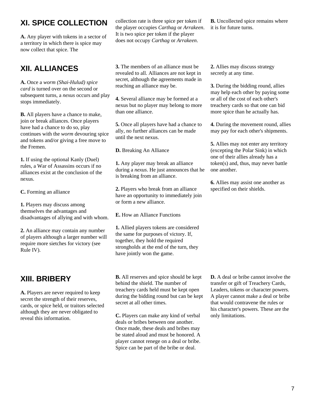## **XI. SPICE COLLECTION**

**A.** Any player with tokens in a sector of a territory in which there is spice may now collect that spice. The

## **XII. ALLIANCES**

**A.** Once a *worm (Shai-Hulud) spice card* is turned over on the second or subsequent turns, a *nexus* occurs and play stops immediately.

**B.** All players have a chance to make, join or break alliances. Once players have had a chance to do so, play continues with the *worm* devouring spice and tokens and/or giving a free move to the Fremen.

**1.** If using the optional Kanly (Duel) rules, a War of Assassins occurs if no alliances exist at the conclusion of the nexus.

**C.** Forming an alliance

**1.** Players may discuss among themselves the advantages and disadvantages of allying and with whom.

**2.** An alliance may contain any number of players although a larger number will require more sietches for victory (see Rule IV).

## **XIII. BRIBERY**

**A.** Players are never required to keep secret the strength of their reserves, cards, or spice held, or traitors selected although they are never obligated to reveal this information.

collection rate is three spice per token if the player occupies *Carthag* or *Arrakeen*. It is two spice per token if the player does not occupy *Carthag* or *Arrakeen*.

**3.** The members of an alliance must be revealed to all. Alliances are not kept in secret, although the agreements made in reaching an alliance may be.

**4.** Several alliance may be formed at a nexus but no player may belong to more than one alliance.

**5.** Once all players have had a chance to ally, no further alliances can be made until the next nexus.

**D.** Breaking An Alliance

**1.** Any player may break an alliance during a *nexus*. He just announces that he is breaking from an alliance.

**2.** Players who break from an alliance have an opportunity to immediately join or form a new alliance.

**E.** How an Alliance Functions

**1.** Allied players tokens are considered the same for purposes of victory. If, together, they hold the required strongholds at the end of the turn, they have jointly won the game.

**B.** All reserves and spice should be kept behind the shield. The number of treachery cards held must be kept open during the bidding round but can be kept secret at all other times.

**C.** Players can make any kind of verbal deals or bribes between one another. Once made, these deals and bribes may be stated aloud and must be honored. A player cannot renege on a deal or bribe. Spice can be part of the bribe or deal.

**B.** Uncollected spice remains where it is for future turns.

**2.** Allies may discuss strategy secretly at any time.

**3.** During the bidding round, allies may help each other by paying some or all of the cost of each other's treachery cards so that one can bid more spice than he actually has.

**4.** During the movement round, allies may pay for each other's shipments.

**5.** Allies may not enter any territory (excepting the Polar Sink) in which one of their allies already has a token(s) and, thus, may never battle one another.

**6.** Allies may assist one another as specified on their shields.

**D.** A deal or bribe cannot involve the transfer or gift of Treachery Cards, Leaders, tokens or character powers. A player cannot make a deal or bribe that would contravene the rules or his character's powers. These are the only limitations.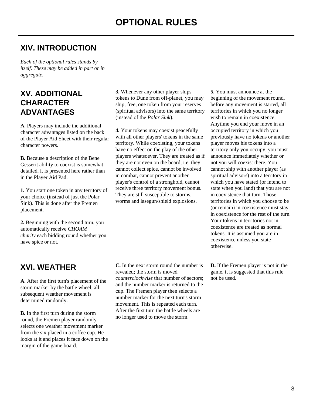## **XIV. INTRODUCTION**

*Each of the optional rules stands by itself. These may be added in part or in aggregate.*

## **XV. ADDITIONAL CHARACTER ADVANTAGES**

**A.** Players may include the additional character advantages listed on the back of the Player Aid Sheet with their regular character powers.

**B.** Because a description of the Bene Gesserit ability to coexist is somewhat detailed, it is presented here rather than in the Player Aid Pad.

**1.** You start one token in any territory of your choice (instead of just the Polar Sink). This is done after the Fremen placement.

**2.** Beginning with the second turn, you automatically receive *CHOAM charity* each bidding round whether you have spice or not.

## **XVI. WEATHER**

**A.** After the first turn's placement of the storm marker by the battle wheel, all subsequent weather movement is determined randomly.

**B.** In the first turn during the storm round, the Fremen player randomly selects one weather movement marker from the six placed in a coffee cup. He looks at it and places it face down on the margin of the game board.

**3.** Whenever any other player ships tokens to Dune from off-planet, you may ship, free, one token from your reserves (spiritual advisors) into the same territory (instead of the *Polar Sink*).

**4.** Your tokens may coexist peacefully with all other players' tokens in the same territory. While coexisting, your tokens have no effect on the play of the other players whatsoever. They are treated as if they are not even on the board, i.e. they cannot collect spice, cannot be involved in combat, cannot prevent another player's control of a stronghold, cannot receive three territory movement bonus. They are still susceptible to storms, worms and lasegun/shield explosions.

**C.** In the next storm round the number is revealed; the storm is moved *counterclockwise* that number of sectors; and the number marker is returned to the cup. The Fremen player then selects a number marker for the next turn's storm movement. This is repeated each turn. After the first turn the battle wheels are no longer used to move the storm.

**5.** You must announce at the beginning of the movement round, before any movement is started, all territories in which you no longer wish to remain in coexistence. Anytime you end your move in an occupied territory in which you previously have no tokens or another player moves his tokens into a territory only you occupy, you must announce immediately whether or not you will coexist there. You cannot ship with another player (as spiritual advisors) into a territory in which you have stated (or intend to state when you land) that you are not in coexistence that turn. Those territories in which you choose to be (or remain) in coexistence must stay in coexistence for the rest of the turn. Your tokens in territories not in coexistence are treated as normal tokens. It is assumed you are in coexistence unless you state otherwise.

**D.** If the Fremen player is not in the game, it is suggested that this rule not be used.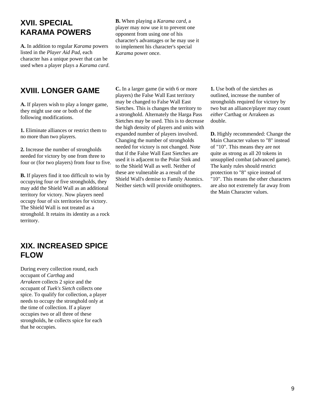## **XVII. SPECIAL KARAMA POWERS**

**A.** In addition to regular *Karama* powers listed in the *Player Aid Pad*, each character has a unique power that can be used when a player plays a *Karama card*.

#### **B.** When playing a *Karama card*, a player may now use it to prevent one opponent from using one of his character's advantages or he may use it to implement his character's special *Karama* power once.

## **XVIII. LONGER GAME**

**A.** If players wish to play a longer game, they might use one or both of the following modifications.

**1.** Eliminate alliances or restrict them to no more than two players.

**2.** Increase the number of strongholds needed for victory by one from three to four or (for two players) from four to five.

**B.** If players find it too difficult to win by occupying four or five strongholds, they may add the Shield Wall as an additional territory for victory. Now players need occupy four of six territories for victory. The Shield Wall is not treated as a stronghold. It retains its identity as a rock territory.

**C.** In a larger game (ie with 6 or more players) the False Wall East territory may be changed to False Wall East Sietches. This is changes the territory to a stronghold. Alternately the Harga Pass Sietches may be used. This is to decrease the high density of players and units with expanded number of players involved. Changing the number of strongholds needed for victory is not changed. Note that if the False Wall East Sietches are used it is adjacent to the Polar Sink and to the Shield Wall as well. Neither of these are vulnerable as a result of the Shield Wall's demise to Family Atomics. Neither sietch will provide ornithopters.

**1.** Use both of the sietches as outlined, increase the number of strongholds required for victory by two but an alliance/player may count *either* Carthag or Arrakeen as double.

**D.** Highly recommended: Change the Main Character values to "8" instead of "10". This means they are not quite as strong as all 20 tokens in unsupplied combat (advanced game). The kanly rules should restrict protection to "8" spice instead of "10". This means the other characters are also not extremely far away from the Main Character values.

## **XIX. INCREASED SPICE FLOW**

During every collection round, each occupant of *Carthag* and *Arrakeen* collects 2 spice and the occupant of *Tuek's Sietch* collects one spice. To qualify for collection, a player needs to occupy the stronghold only at the time of collection. If a player occupies two or all three of these strongholds, he collects spice for each that he occupies.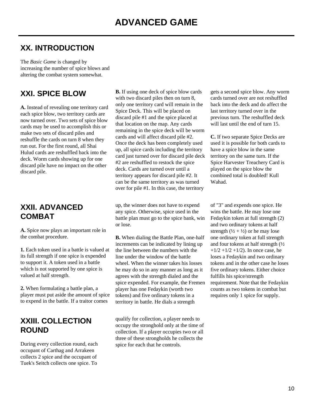## **XX. INTRODUCTION**

The *Basic Game* is changed by increasing the number of spice blows and altering the combat system somewhat.

## **XXI. SPICE BLOW**

**A.** Instead of revealing one territory card each spice blow, two territory cards are now turned over. Two sets of spice blow cards may be used to accomplish this or make two sets of discard piles and reshuffle the cards on turn 8 when they run out. For the first round, all Shai Hulud cards are reshuffled back into the deck. Worm cards showing up for one discard pile have no impact on the other discard pile.

## **XXII. ADVANCED COMBAT**

**A.** Spice now plays an important role in the combat procedure.

**1.** Each token used in a battle is valued at its full strength if one spice is expended to support it. A token used in a battle which is not supported by one spice is valued at half strength.

**2.** When formulating a battle plan, a player must put aside the amount of spice to expend in the battle. If a traitor comes

## **XXIII. COLLECTION ROUND**

During every collection round, each occupant of Carthag and Arrakeen collects 2 spice and the occupant of Tuek's Seitch collects one spice. To

**B.** If using one deck of spice blow cards with two discard piles then on turn 8, only one territory card will remain in the Spice Deck. This will be placed on discard pile #1 and the spice placed at that location on the map. Any cards remaining in the spice deck will be worm cards and will affect discard pile #2. Once the deck has been completely used up, all spice cards including the territory card just turned over for discard pile deck #2 are reshuffled to restock the spice deck. Cards are turned over until a territory appears for discard pile #2. It can be the same territory as was turned over for pile #1. In this case, the territory

up, the winner does not have to expend any spice. Otherwise, spice used in the battle plan must go to the spice bank, win or lose.

**B.** When dialing the Battle Plan, one-half increments can be indicated by lining up the line between the numbers with the line under the window of the battle wheel. When the winner takes his losses he may do so in any manner as long as it agrees with the strength dialed and the spice expended. For example, the Fremen player has one Fedaykin (worth two tokens) and five ordinary tokens in a territory in battle. He dials a strength

qualify for collection, a player needs to occupy the stronghold only at the time of collection. If a player occupies two or all three of these strongholds he collects the spice for each that he controls.

gets a second spice blow. Any worm cards turned over are not reshuffled back into the deck and do affect the last territory turned over in the previous turn. The reshuffled deck will last until the end of turn 15.

**C.** If two separate Spice Decks are used it is possible for both cards to have a spice blow in the same territory on the same turn. If the Spice Harvester Treachery Card is played on the spice blow the combined total is doubled! Kull Wahad.

of "3" and expends one spice. He wins the battle. He may lose one Fedaykin token at full strength (2) and two ordinary tokens at half strength  $(\frac{1}{2} + \frac{1}{2})$  or he may lose one ordinary token at full strength and four tokens at half strength (½  $+1/2 +1/2 +1/2$ ). In once case, he loses a Fedaykin and two ordinary tokens and in the other case he loses five ordinary tokens. Either choice fulfills his spice/strength requirement. Note that the Fedaykin counts as two tokens in combat but requires only 1 spice for supply.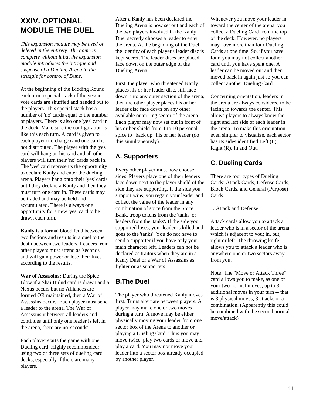## **XXIV. OPTIONAL MODULE THE DUEL**

*This expansion module may be used or deleted in the entirety. The game is complete without it but the expansion module introduces the intrigue and suspense of a Dueling Arena to the struggle for control of Dune.*

At the beginning of the Bidding Round each turn a special stack of the yes/no vote cards are shuffled and handed out to the players. This special stack has a number of 'no' cards equal to the number of players. There is also one 'yes' card in the deck. Make sure the configuration is like this each turn. A card is given to each player (no charge) and one card is not distributed. The player with the 'yes' card will hang on his card and all other players will turn their 'no' cards back in. The 'yes' card represents the opportunity to declare Kanly and enter the dueling arena. Players hang onto their 'yes' cards until they declare a Kanly and then they must turn one card in. These cards may be traded and may be held and accumulated. There is always one opportunity for a new 'yes' card to be drawn each turn.

**Kanly** is a formal blood feud between two factions and results in a duel to the death between two leaders. Leaders from other players must attend as 'seconds' and will gain power or lose their lives according to the results.

**War of Assassins:** During the Spice Blow if a Shai Hulud card is drawn and a Nexus occurs but no Alliances are formed OR maintained, then a War of Assassins occurs. Each player must send a leader to the arena. The War of Assassins it between all leaders and continues until only one leader is left in the arena, there are no 'seconds'.

Each player starts the game with one Dueling card. Highly recommended: using two or three sets of dueling card decks, especially if there are many players.

After a Kanly has been declared the Dueling Arena is now set out and each of the two players involved in the Kanly Duel secretly chooses a leader to enter the arena. At the beginning of the Duel, the identity of each player's leader disc is kept secret. The leader discs are placed face down on the outer edge of the Dueling Arena.

First, the player who threatened Kanly places his or her leader disc, still face down, into any outer section of the arena; then the other player places his or her leader disc face down on any other available outer ring sector of the arena. Each player may now set out in front of his or her shield from 1 to 10 personal spice to "back up" his or her leader (do this simultaneously).

## **A. Supporters**

Every other player must now choose sides. Players place one of their leaders face down next to the player shield of the side they are supporting. If the side you support wins, you regain your leader and collect the value of the leader in any combination of spice from the Spice Bank, troop tokens from the 'tanks' or leaders from the 'tanks'. If the side you supported loses, your leader is killed and goes to the 'tanks'. You do not have to send a supporter if you have only your main character left. Leaders can not be declared as traitors when they are in a Kanly Duel or a War of Assassins as fighter or as supporters.

## **B.The Duel**

The player who threatened Kanly moves first. Turns alternate between players. A player may make one or two moves during a turn. A move may be either physically moving your leader from one sector box of the Arena to another or playing a Dueling Card. Thus you may move twice, play two cards or move and play a card. You may not move your leader into a sector box already occupied by another player.

Whenever you move your leader in toward the center of the arena, you collect a Dueling Card from the top of the deck. However, no players may have more than four Dueling Cards at one time. So, if you have four, you may not collect another card until you have spent one. A leader can be moved out and then moved back in again just so you can collect another Dueling Card.

Concerning orientation, leaders in the arena are always considered to be facing in towards the center. This allows players to always know the right and left side of each leader in the arena. To make this orientation even simpler to visualize, each sector has its sides identified Left (L), Right (R), In and Out.

## **C. Dueling Cards**

There are four types of Dueling Cards: Attack Cards, Defense Cards, Block Cards, and General (Purpose) Cards.

**1.** Attack and Defense

Attack cards allow you to attack a leader who is in a sector of the arena which is adjacent to you; in, out, right or left. The throwing knife allows you to attack a leader who is anywhere one or two sectors away from you.

Note! The "Move or Attack Three" card allows you to make, as one of your two normal moves, up to 3 additional moves in your turn -- that is 3 physical moves, 3 attacks or a combination. (Apparently this could be combined with the second normal move/attack)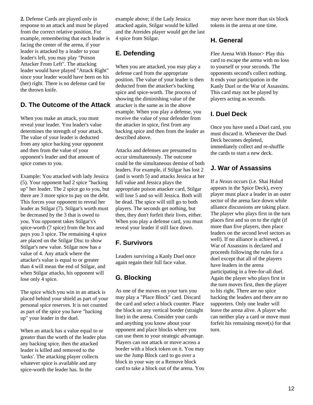**2.** Defense Cards are played only in response to an attack and must be played from the correct relative position. For example, remembering that each leader is facing the center of the arena, if your leader is attacked by a leader to your leader's left, you may play "Poison Attacker From Left". The attacking leader would have played "Attack Right" since your leader would have been on his (her) right. There is no defense card for the thrown knife.

### **D. The Outcome of the Attack**

When you make an attack, you must reveal your leader. You leader's value determines the strength of your attack. The value of your leader is deducted from any spice backing your opponent and then from the value of your opponent's leader and that amount of spice comes to you.

Example: You attacked with lady Jessica (5). Your opponent had 2 spice "backing up" her leader. The 2 spice go to you, but there are 3 more spice to pay on the debt. This forces your opponent to reveal her leader as Stilgar (7). Stilgar's worth must be decreased by the 3 that is owed to you. You opponent takes Stilgar's's spice-worth (7 spice) from the box and pays you 3 spice. The remaining 4 spice are placed on the Stilgar Disc to show Stilgar's new value. Stilgar now has a value of 4. Any attack where the attacker's value is equal to or greater than 4 will mean the end of Stilgar, and when Stilgar attacks, his opponent will lose only 4 spice.

The spice which you win in an attack is placed behind your shield as part of your personal spice reserves. It is not counted as part of the spice you have "backing up" your leader in the duel.

When an attack has a value equal to or greater than the worth of the leader plus any backing spice, then the attacked leader is killed and removed to the 'tanks'. The attacking player collects whatever spice is available and any spice-worth the leader has. In the

example above; if the Lady Jessica attacked again, Stilgar would be killed and the Atreides player would get the last 4 spice from Stilgar.

### **E. Defending**

When you are attacked, you may play a defense card from the appropriate position. The value of your leader is then deducted from the attacker's backing spice and spice-worth. The process of showing the diminishing value of the attacker is the same as in the above example. When you play a defense, you receive the value of your defender from the attacker in spice, first from any backing spice and then from the leader as described above.

Attacks and defenses are presumed to occur simultaneously. The outcome could be the simultaneous demise of both leaders. For example, if Stilgar has lost 2 (and is worth 5) and attacks Jessica at her full value and Jessica plays the appropriate poison attacker card, Stilgar will lose 5 and so will Jessica. Both will be dead. The spice will still go to both players. The seconds get nothing, but then, they don't forfeit their lives, either. When you play a defense card, you must reveal your leader if still face down.

### **F. Survivors**

Leaders surviving a Kanly Duel once again regain their full face value.

## **G. Blocking**

As one of the moves on your turn you may play a "Place Block" card. Discard the card and select a block counter. Place the block on any vertical border (straight line) in the arena. Consider your cards and anything you know about your opponent and place blocks where you can use them to your strategic advantage. Players can not attack or move across a border with a block token on it. You may use the Jump Block card to go over a block in your way or a Remove block card to take a block out of the arena. You may never have more than six block tokens in the arena at one time.

### **H. General**

Flee Arena With Honor> Play this card to escape the arena with no loss to yourself or your seconds. The opponents second's collect nothing. It ends your participation in the Kanly Duel or the War of Assassins. This card may not be played by players acting as seconds.

### **I. Duel Deck**

Once you have used a Duel card, you must discard it. Whenever the Duel Deck becomes depleted, immediately collect and re-shuffle the cards to start a new deck.

### **J. War of Assassins**

If a *Nexus* occurs (i.e. Shai Hulud appears in the Spice Deck), every player must place a leader in an outer sector of the arena face down while alliance discussions are taking place. The player who plays first in the turn places first and so on to the right (if more than five players, then place leaders on the second level sectors as well). If no alliance is achieved, a War of Assassins is declared and proceeds following the rules for a duel except that all of the players have leaders in the arena participating in a free-for-all duel. Again the player who plays first in the turn moves first, then the player to his right. There are no spice backing the leaders and there are no supporters. Only one leader will leave the arena alive. A player who can neither play a card or move must forfeit his remaining move(s) for that turn.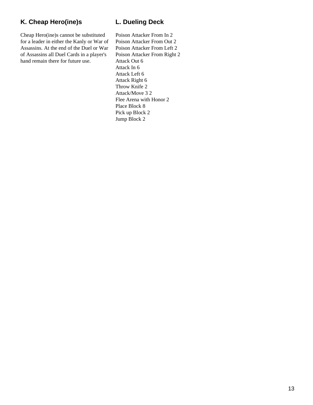### **K. Cheap Hero(ine)s**

Cheap Hero(ine)s cannot be substituted for a leader in either the Kanly or War of Assassins. At the end of the Duel or War of Assassins all Duel Cards in a player's hand remain there for future use.

### **L. Dueling Deck**

Poison Attacker From In 2 Poison Attacker From Out 2 Poison Attacker From Left 2 Poison Attacker From Right 2 Attack Out 6 Attack In 6 Attack Left 6 Attack Right 6 Throw Knife 2 Attack/Move 3 2 Flee Arena with Honor 2 Place Block 8 Pick up Block 2 Jump Block 2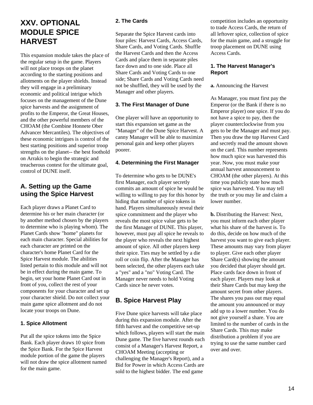## **XXV. OPTIONAL MODULE SPICE HARVEST**

This expansion module takes the place of the regular setup in the game. Players will not place troops on the planet according to the starting positions and allotments on the player shields. Instead they will engage in a preliminary economic and political intrigue which focuses on the management of the Dune spice harvests and the assignment of profits to the Emperor, the Great Houses, and the other powerful members of the CHOAM (the Combine Honnete Ober Advancer Mercantiles). The objectives of these economic intrigues is control of the best starting positions and superior troop strengths on the planet-- the best foothold on Arrakis to begin the strategic and treacherous contest for the ultimate goal, control of DUNE itself.

### **A. Setting up the Game using the Spice Harvest**

Each player draws a Planet Card to determine his or her main character (or by another method chosen by the players to determine who is playing whom). The Planet Cards show "home" planets for each main character. Special abilities for each character are printed on the character's home Planet Card for the Spice Harvest module. The abilities listed pertain to this module and will not be in effect during the main game. To begin, set your home Planet Card out in front of you, collect the rest of your components for your character and set up your character shield. Do not collect your main game spice allotment and do not locate your troops on Dune.

#### **1. Spice Allotment**

Put all the spice tokens into the Spice Bank. Each player draws 10 spice from the Spice Bank. For the Spice Harvest module portion of the game the players will not draw the spice allotment named for the main game.

#### **2. The Cards**

Separate the Spice Harvest cards into four piles: Harvest Cards, Access Cards, Share Cards, and Voting Cards. Shuffle the Harvest Cards and then the Access Cards and place them in separate piles face down and to one side. Place all Share Cards and Voting Cards to one side; Share Cards and Voting Cards need not be shuffled, they will be used by the Manager and other players.

#### **3. The First Manager of Dune**

One player will have an opportunity to start this expansion set game as the "Manager" of the Dune Spice Harvest. A canny Manager will be able to maximize personal gain and keep other players poorer.

#### **4. Determining the First Manager**

To determine who gets to be DUNE's first Manager, each player secretly commits an amount of spice he would be willing to willing to pay for this honor by hiding that number of spice tokens in hand. Players simultaneously reveal their spice commitment and the player who reveals the most spice value gets to be the first Manager of DUNE. This player, however, must pay all spice he reveals to the player who reveals the next highest amount of spice. All other players keep their spice. Ties may be settled by a die roll or coin flip. After the Manager has been selected, the other players each take a "yes" and a "no" Voting Card. The Manager never needs to hold Voting Cards since he never votes.

### **B. Spice Harvest Play**

Five Dune spice harvests will take place during this expansion module. After the fifth harvest and the competitive set-up which follows, players will start the main Dune game. The five harvest rounds each consist of a Manager's Harvest Report, a CHOAM Meeting (accepting or challenging the Manager's Report), and a Bid for Power in which Access Cards are sold to the highest bidder. The end game

competition includes an opportunity to trade Access Cards, the return of all leftover spice, collection of spice for the main game, and a struggle for troop placement on DUNE using Access Cards.

#### **1. The Harvest Manager's Report**

**a.** Announcing the Harvest

As Manager, you must first pay the Emperor (or the Bank if there is no Emperor player) one spice. If you do not have a spice to pay, then the player counterclockwise from you gets to be the Manager and must pay. Then you draw the top Harvest Card and secretly read the amount shown on the card. This number represents how much spice was harvested this year. Now, you must make your annual harvest announcement to CHOAM (the other players). At this time you publicly state how much spice was harvested. You may tell the truth or you may lie and claim a lower number.

**b.** Distributing the Harvest: Next, you must inform each other player what his share of the harvest is. To do this, decide on how much of the harvest you want to give each player. These amounts may vary from player to player. Give each other player Share Card(s) showing the amount you decided that player should get. Place cards face down in front of each player. Players may look at their Share Cards but may keep the amount secret from other players. The shares you pass out may equal the amount you announced or may add up to a lower number. You do not give yourself a share. You are limited to the number of cards in the Share Cards. This may make distribution a problem if you are trying to use the same number card over and over.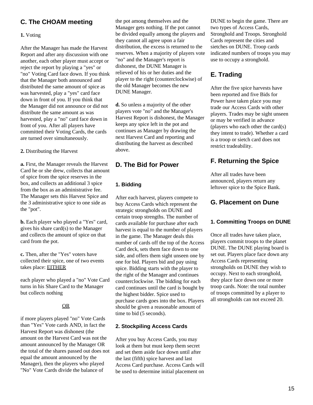### **C. The CHOAM meeting**

#### **1.** Voting

After the Manager has made the Harvest Report and after any discussion with one another, each other player must accept or reject the report by playing a "yes" or "no" Voting Card face down. If you think that the Manager both announced and distributed the same amount of spice as was harvested, play a "yes" card face down in front of you. If you think that the Manager did not announce or did not distribute the same amount as was harvested, play a "no" card face down in front of you. After all players have committed their Voting Cards, the cards are turned over simultaneously.

#### **2.** Distributing the Harvest

**a.** First, the Manager reveals the Harvest Card he or she drew, collects that amount of spice from the spice reserves in the box, and collects an additional 3 spice from the box as an administrative fee. The Manager sets this Harvest Spice and the 3 administrative spice to one side as the "pot".

**b.** Each player who played a "Yes" card, gives his share card(s) to the Manager and collects the amount of spice on that card from the pot.

**c.** Then, after the "Yes" voters have collected their spice, one of two events takes place: EITHER

each player who played a "no" Vote Card turns in his Share Card to the Manager but collects nothing

#### OR

if more players played "no" Vote Cards than "Yes" Vote cards AND, in fact the Harvest Report was dishonest (the amount on the Harvest Card was not the amount announced by the Manager OR the total of the shares passed out does not equal the amount announced by the Manager), then the players who played "No" Vote Cards divide the balance of

the pot among themselves and the Manager gets nothing. If the pot cannot be divided equally among the players and they cannot all agree upon a fair distribution, the excess is returned to the reserves. When a majority of players vote "no" and the Manager's report is dishonest, the DUNE Manager is relieved of his or her duties and the player to the right (counterclockwise) of the old Manager becomes the new DUNE Manager.

**d.** So unless a majority of the other players vote "no" and the Manager's Harvest Report is dishonest, the Manager keeps any spice left in the pot and continues as Manager by drawing the next Harvest Card and reporting and distributing the harvest as described above.

### **D. The Bid for Power**

#### **1. Bidding**

After each harvest, players compete to buy Access Cards which represent the strategic strongholds on DUNE and certain troop strengths. The number of cards available for purchase after each harvest is equal to the number of players in the game. The Manager deals this number of cards off the top of the Access Card deck, sets them face down to one side, and offers them sight unseen one by one for bid. Players bid and pay using spice. Bidding starts with the player to the right of the Manager and continues counterclockwise. The bidding for each card continues until the card is bought by the highest bidder. Spice used to purchase cards goes into the box. Players should be given a reasonable amount of time to bid (5 seconds).

#### **2. Stockpiling Access Cards**

After you buy Access Cards, you may look at them but must keep them secret and set them aside face down until after the last (fifth) spice harvest and last Access Card purchase. Access Cards will be used to determine initial placement on DUNE to begin the game. There are two types of Access Cards, Stronghold and Troops. Stronghold Cards represent the cities and sietches on DUNE. Troop cards indicated numbers of troops you may use to occupy a stronghold.

## **E. Trading**

After the five spice harvests have been reported and five Bids for Power have taken place you may trade our Access Cards with other players. Trades may be sight unseen or may be verified in advance (players who each other the card(s) they intent to trade). Whether a card is a troop or sietch card does not restrict tradeability.

### **F. Returning the Spice**

After all trades have been announced, players return any leftover spice to the Spice Bank.

### **G. Placement on Dune**

#### **1. Committing Troops on DUNE**

Once all trades have taken place, players commit troops to the planet DUNE. The DUNE playing board is set out. Players place face down any Access Cards representing strongholds on DUNE they wish to occupy. Next to each stronghold, they place face down one or more troop cards. Note: the total number of troops committed by a player to all strongholds can not exceed 20.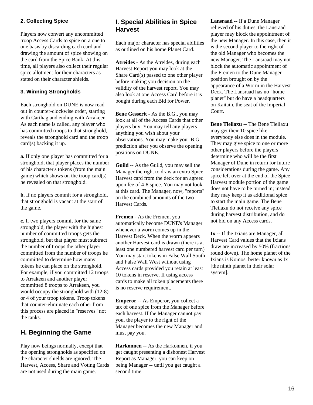#### **2. Collecting Spice**

Players now convert any uncommitted troop Access Cards to spice on a one to one basis by discarding each card and drawing the amount of spice showing on the card from the Spice Bank. At this time, all players also collect their regular spice allotment for their characters as stated on their character shields.

#### **3. Winning Strongholds**

Each stronghold on DUNE is now read out in counter-clockwise order, starting with Carthag and ending with Arrakeen. As each name is called, any player who has committed troops to that stronghold, reveals the stronghold card and the troop card(s) backing it up.

**a.** If only one player has committed for a stronghold, that player places the number of his character's tokens (from the main game) which shows on the troop card(s) he revealed on that stronghold.

**b.** If no players commit for a stronghold, that stronghold is vacant at the start of the game.

**c.** If two players commit for the same stronghold, the player with the highest number of committed troops gets the stronghold, but that player must subtract the number of troops the other player committed from the number of troops he committed to determine how many tokens he can place on the stronghold. For example, if you committed 12 troops to Arrakeen and another player committed 8 troops to Arrakeen, you would occupy the stronghold with (12-8) or 4 of your troop tokens. Troop tokens that counter-eliminate each other from this process are placed in "reserves" not the tanks.

### **H. Beginning the Game**

Play now beings normally, except that the opening strongholds as specified on the character shields are ignored. The Harvest, Access, Share and Voting Cards are not used during the main game.

### **I. Special Abilities in Spice Harvest**

Each major character has special abilities as outlined on his home Planet Card.

**Atreides** - As the Atreides, during each Harvest Report you may look at the Share Card(s) passed to one other player before making you decision on the validity of the harvest report. You may also look at one Access Card before it is bought during each Bid for Power.

**Bene Gesserit** - As the B.G., you may look at all of the Access Cards that other players buy. You may tell any players anything you wish about your observations. You may make your B.G. prediction after you observe the opening positions on DUNE.

**Guild** -- As the Guild, you may sell the Manager the right to draw an extra Spice Harvest card from the deck for an agreed upon fee of 4-8 spice. You may not look at this card. The Manager, now, "reports" on the combined amounts of the two Harvest Cards.

**Fremen** - As the Fremen, you automatically become DUNE's Manager whenever a worm comes up in the Harvest Deck. When the worm appears another Harvest card is drawn (there is at least one numbered harvest card per turn) You may start tokens in False Wall South and False Wall West without using Access cards provided you retain at least 10 tokens in reserve. If using access cards to make all token placements there is no reserve requirement.

**Emperor** -- As Emperor, you collect a tax of one spice from the Manager before each harvest. If the Manager cannot pay you, the player to the right of the Manager becomes the new Manager and must pay you.

**Harkonnen** -- As the Harkonnen, if you get caught presenting a dishonest Harvest Report as Manager, you can keep on being Manager -- until you get caught a second time.

**Lansraad** -- If a Dune Manager relieved of his duties, the Lansraad player may block the appointment of the new Manager. In this case, then it is the second player to the right of the old Manager who becomes the new Manager. The Lansraad may not block the automatic appointment of the Fremen to the Dune Manager position brought on by the appearance of a Worm in the Harvest Deck. The Lansraad has no "home planet" but do have a headquarters on Kaitain, the seat of the Imperial Court.

**Bene Tleilaxu** -- The Bene Tleilaxu may get their 10 spice like everybody else does in the module. They may give spice to one or more other players before the players determine who will be the first Manager of Dune in return for future considerations during the game. Any spice left over at the end of the Spice Harvest module portion of the game does not have to be turned in; instead they may keep it as additional spice to start the main game. The Bene Tleilaxu do not receive any spice during harvest distribution, and do not bid on any Access cards.

**Ix** -- If the Ixians are Manager, all Harvest Card values that the Ixians draw are increased by 50% (fractions round down). The home planet of the Ixians is Komos, better known as Ix [the ninth planet in their solar system].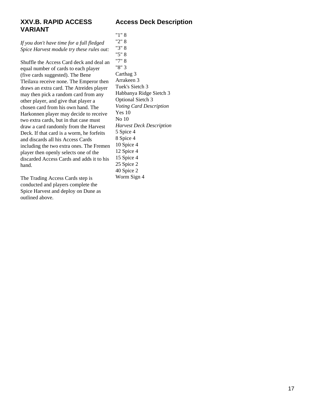### **XXV.B. RAPID ACCESS VARIANT**

**Access Deck Description**

*If you don't have time for a full fledged Spice Harvest module try these rules out:*

Shuffle the Access Card deck and deal an equal number of cards to each player (five cards suggested). The Bene Tleilaxu receive none. The Emperor then draws an extra card. The Atreides player may then pick a random card from any other player, and give that player a chosen card from his own hand. The Harkonnen player may decide to receive two extra cards, but in that case must draw a card randomly from the Harvest Deck. If that card is a worm, he forfeits and discards all his Access Cards including the two extra ones. The Fremen player then openly selects one of the discarded Access Cards and adds it to his hand.

The Trading Access Cards step is conducted and players complete the Spice Harvest and deploy on Dune as outlined above.

"1" 8 "2" 8 "3" 8 "5" 8 "7" 8 "8" 3 Carthag 3 Arrakeen 3 Tuek's Sietch 3 Habbanya Ridge Sietch 3 Optional Sietch 3 *Voting Card Description* Yes 10 No 10 *Harvest Deck Description* 5 Spice 4 8 Spice 4 10 Spice 4 12 Spice 4 15 Spice 4 25 Spice 2 40 Spice 2 Worm Sign 4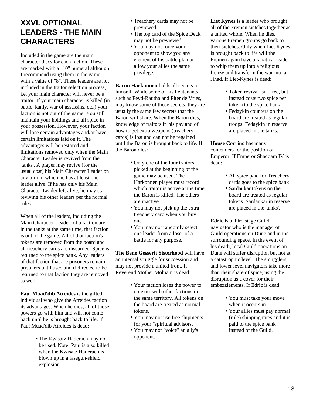## **XXVI. OPTIONAL LEADERS - THE MAIN CHARACTERS**

Included in the game are the main character discs for each faction. These are marked with a "10" numeral although I recommend using them in the game with a value of "8". These leaders are not included in the traitor selection process, i.e. your main character will never be a traitor. If your main character is killed (in battle, kanly, war of assassins, etc.) your faction is not out of the game. You still maintain your holdings and all spice in your possession. However, your faction will lose certain advantages and/or have certain limitations laid on it. The advantages will be restored and limitations removed only when the Main Character Leader is revived from the 'tanks'. A player may revive (for the usual cost) his Main Character Leader on any turn in which he has at least one leader alive. If he has only his Main Character Leader left alive, he may start reviving his other leaders per the normal rules.

When all of the leaders, including the Main Character Leader, of a faction are in the tanks at the same time, that faction is out of the game. All of that faction's tokens are removed from the board and all treachery cards are discarded. Spice is returned to the spice bank. Any leaders of that faction that are prisoners remain prisoners until used and if directed to be returned to that faction they are removed as well.

**Paul Muad'dib Atreides** is the gifted individual who give the Atreides faction its advantages. When he dies, all of those powers go with him and will not come back until he is brought back to life. If Paul Muad'dib Atreides is dead:

> • The Kwisatz Haderach may not be used. Note: Paul is also killed when the Kwisatz Haderach is blown up in a lasegun-shield explosion

- Treachery cards may not be previewed.
- The top card of the Spice Deck may not be previewed.
- You may not force your opponent to show you any element of his battle plan or allow your allies the same privilege.

**Baron Harkonnen** holds all secrets to himself. While some of his lieutenants, such as Feyd-Rautha and Piter de Vries, may know some of those secrets, they are usually the same few secrets that the Baron will share. When the Baron dies, knowledge of traitors in his pay and of how to get extra weapons (treachery cards) is lost and can not be regained until the Baron is brought back to life. If the Baron dies:

- Only one of the four traitors picked at the beginning of the game may be used. The Harkonnen player must record which traitor is active at the time the Baron is killed. The others are inactive
- You may not pick up the extra treachery card when you buy one.
- You may not randomly select one leader from a loser of a battle for any purpose.

**The Bene Gesserit Sisterhood** will have an internal struggle for succession and may not provide a united front. If Reverend Mother Mohiam is dead:

- Your faction loses the power to co-exist with other factions in the same territory. All tokens on the board are treated as normal tokens.
- You may not use free shipments for your "spiritual advisors.
- You may not "voice" an ally's opponent.

**Liet Kynes** is a leader who brought all of the Fremen sietches together as a united whole. When he dies, various Fremen groups go back to their sietches. Only when Liet Kynes is brought back to life will the Fremen again have a fanatical leader to whip them up into a religious frenzy and transform the war into a Jihad. If Liet-Kynes is dead:

- Token revival isn't free, but instead costs two spice per token (to the spice bank
- Fedaykin counters on the board are treated as regular troops. Fedaykin in reserve are placed in the tanks.

**House Corrino** has many contenders for the position of Emperor. If Emperor Shaddam IV is dead:

- All spice paid for Treachery cards goes to the spice bank
- Sardaukar tokens on the board are treated as regular tokens. Sardaukar in reserve are placed in the 'tanks'.

**Edric** is a third stage Guild navigator who is the manager of Guild operations on Dune and in the surrounding space. In the event of his death, local Guild operations on Dune will suffer disruption but not at a catastrophic level. The smugglers and lower level navigators take more than their share of spice, using the disruption as a cover for their embezzlements. If Edric is dead:

- You must take your move when it occurs in
- Your allies must pay normal (rule) shipping rates and it is paid to the spice bank instead of the Guild.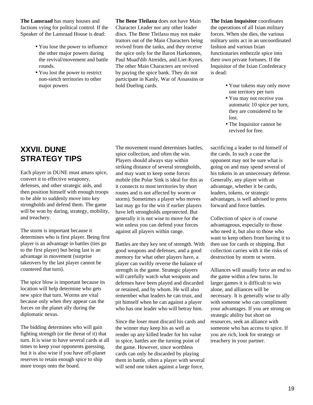**The Lansraad** has many houses and factions vying for political control. If the Speaker of the Lansraad House is dead:

- You lose the power to influence the other major powers during the revival/movement and battle rounds.
- You lost the power to restrict non-sietch territories to other major powers

**The Bene Tleilaxu** does not have Main Character Leader nor any other leader discs. The Bene Tleilaxu may not make traitors out of the Main Characters being revived from the tanks, and they receive the spice only for the Baron Harkonnen, Paul Muad'dib Atreides, and Liet-Kynes. The other Main Characters are revived by paying the spice bank. They do not participate in Kanly, War of Assassins or hold Dueling cards.

**The Ixian Inquisitor** coordinates the operations of all Ixian military forces. When she dies, the various military units act in an uncoordinated fashion and various Ixian functionaries embezzle spice into their own private fortunes. If the Inquisitor of the Ixian Confederacy is dead:

- Your tokens may only move one territory per turn
- You may not receive you automatic 10 spice per turn, they are considered to be lost.
- The Inquisitor cannot be revived for free.

sacrificing a leader to rid himself of the cards. In such a case the opponent may not be sure what is going on and may spend several of his tokens in an unnecessary defense. Generally, any player with an advantage, whether it be cards, leaders, tokens, or strategic advantages, is well advised to press forward and force battles.

Collection of spice is of course advantageous, especially to those who need it, but also to those who want to keep others from having it to then use for cards or shipping. But collection carries with it the risks of destruction by storm or worm.

Alliances will usually force an end to the game within a few turns. In larger games it is difficult to win alone, and alliances will be necessary. It is generally wise to ally with someone who can compliment your advantages. If you are strong on strategic ability but short on resources, seek an alliance with someone who has access to spice. If you are rich, look for strategy or treachery in your partner.

## **XXVII. DUNE STRATEGY TIPS**

Each player in DUNE must amass spice, convert it to effective weaponry, defenses, and other strategic aids, and then position himself with enough troops to be able to suddenly move into key strongholds and defend them. The game will be won by daring, strategy, mobility, and treachery.

The storm is important because it determines who is first player. Being first player is an advantage in battles (ties go to the first player) but being last is an advantage in movement (surprise takeovers by the last player cannot be countered that turn).

The spice blow is important because its location will help determine who gets new spice that turn. Worms are vital because only when they appear can the forces on the planet ally during the diplomatic nexus.

The bidding determines who will gain fighting strength (or the threat of it) that turn. It is wise to have several cards at all times to keep your opponents guessing, but it is also wise if you have off-planet reserves to retain enough spice to ship more troops onto the board.

The movement round determines battles, spice collection, and often the win. Players should always stay within striking distance of several strongholds, and may want to keep some forces mobile (the Polar Sink is ideal for this as it connects to most territories by short routes and is not affected by worm or storm). Sometimes a player who moves last may go for the win if earlier players have left strongholds unprotected. But generally it is not wise to move for the win unless you can defend your forces against all players within range.

Battles are they key test of strength. With good weapons and defenses, and a good memory for what other players have, a player can swiftly reverse the balance of strength in the game. Strategic players will carefully watch what weapons and defenses have been played and discarded or retained, and by whom. He will also remember what leaders he can trust, and pit himself when he can against a player who has one leader who will betray him.

Since the loser must discard his cards and the winner may keep his as well as render up any killed leader for his value in spice, battles are the turning point of the game. However, since worthless cards can only be discarded by playing them in battle, often a player with several will send one token against a large force,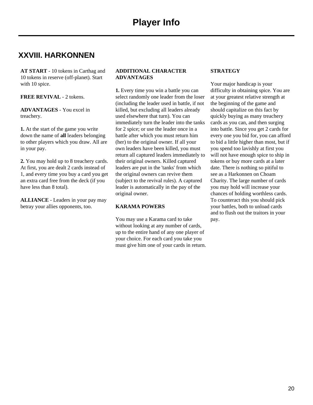## **XXVIII. HARKONNEN**

**AT START** - 10 tokens in Carthag and 10 tokens in reserve (off-planet). Start with 10 spice.

#### **FREE REVIVAL** - 2 tokens.

**ADVANTAGES** - You excel in treachery.

**1.** At the start of the game you write down the name of **all** leaders belonging to other players which you draw. All are in your pay.

**2.** You may hold up to 8 treachery cards. At first, you are dealt 2 cards instead of 1, and every time you buy a card you get an extra card free from the deck (if you have less than 8 total).

**ALLIANCE** - Leaders in your pay may betray your allies opponents, too.

#### **ADDITIONAL CHARACTER ADVANTAGES**

**1.** Every time you win a battle you can select randomly one leader from the loser (including the leader used in battle, if not killed, but excluding all leaders already used elsewhere that turn). You can immediately turn the leader into the tanks for 2 spice; or use the leader once in a battle after which you must return him (her) to the original owner. If all your own leaders have been killed, you must return all captured leaders immediately to their original owners. Killed captured leaders are put in the 'tanks' from which the original owners can revive them (subject to the revival rules). A captured leader is automatically in the pay of the original owner.

#### **KARAMA POWERS**

You may use a Karama card to take without looking at any number of cards, up to the entire hand of any one player of your choice. For each card you take you must give him one of your cards in return.

#### **STRATEGY**

Your major handicap is your difficulty in obtaining spice. You are at your greatest relative strength at the beginning of the game and should capitalize on this fact by quickly buying as many treachery cards as you can, and then surging into battle. Since you get 2 cards for every one you bid for, you can afford to bid a little higher than most, but if you spend too lavishly at first you will not have enough spice to ship in tokens or buy more cards at a later date. There is nothing so pitiful to see as a Harkonnen on Choam Charity. The large number of cards you may hold will increase your chances of holding worthless cards. To counteract this you should pick your battles, both to unload cards and to flush out the traitors in your pay.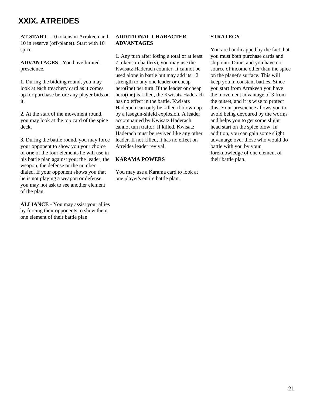## **XXIX. ATREIDES**

**AT START** - 10 tokens in Arrakeen and 10 in reserve (off-planet). Start with 10 spice.

**ADVANTAGES** - You have limited prescience.

**1.** During the bidding round, you may look at each treachery card as it comes up for purchase before any player bids on it.

**2.** At the start of the movement round, you may look at the top card of the spice deck.

**3.** During the battle round, you may force your opponent to show you your choice of **one** of the four elements he will use in his battle plan against you; the leader, the weapon, the defense or the number dialed. If your opponent shows you that he is not playing a weapon or defense, you may not ask to see another element of the plan.

**ALLIANCE** - You may assist your allies by forcing their opponents to show them one element of their battle plan.

#### **ADDITIONAL CHARACTER ADVANTAGES**

**1.** Any turn after losing a total of at least 7 tokens in battle(s), you may use the Kwisatz Haderach counter. It cannot be used alone in battle but may add its  $+2$ strength to any one leader or cheap hero(ine) per turn. If the leader or cheap hero(ine) is killed, the Kwisatz Haderach has no effect in the battle. Kwisatz Haderach can only be killed if blown up by a lasegun-shield explosion. A leader accompanied by Kwisatz Haderach cannot turn traitor. If killed, Kwisatz Haderach must be revived like any other leader. If not killed, it has no effect on Atreides leader revival.

#### **KARAMA POWERS**

You may use a Karama card to look at one player's entire battle plan.

#### **STRATEGY**

You are handicapped by the fact that you must both purchase cards and ship onto Dune, and you have no source of income other than the spice on the planet's surface. This will keep you in constant battles. Since you start from Arrakeen you have the movement advantage of 3 from the outset, and it is wise to protect this. Your prescience allows you to avoid being devoured by the worms and helps you to get some slight head start on the spice blow. In addition, you can gain some slight advantage over those who would do battle with you by your foreknowledge of one element of their battle plan.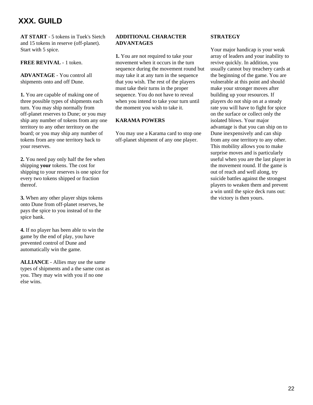## **XXX. GUILD**

**AT START** - 5 tokens in Tuek's Sietch and 15 tokens in reserve (off-planet). Start with 5 spice.

#### **FREE REVIVAL** - 1 token.

**ADVANTAGE** - You control all shipments onto and off Dune.

**1.** You are capable of making one of three possible types of shipments each turn. You may ship normally from off-planet reserves to Dune; or you may ship any number of tokens from any one territory to any other territory on the board; or you may ship any number of tokens from any one territory back to your reserves.

**2.** You need pay only half the fee when shipping **your** tokens. The cost for shipping to your reserves is one spice for every two tokens shipped or fraction thereof.

**3.** When any other player ships tokens onto Dune from off-planet reserves, he pays the spice to you instead of to the spice bank.

**4.** If no player has been able to win the game by the end of play, you have prevented control of Dune and automatically win the game.

**ALLIANCE** - Allies may use the same types of shipments and a the same cost as you. They may win with you if no one else wins.

#### **ADDITIONAL CHARACTER ADVANTAGES**

**1.** You are not required to take your movement when it occurs in the turn sequence during the movement round but may take it at any turn in the sequence that you wish. The rest of the players must take their turns in the proper sequence. You do not have to reveal when you intend to take your turn until the moment you wish to take it.

#### **KARAMA POWERS**

You may use a Karama card to stop one off-planet shipment of any one player.

#### **STRATEGY**

Your major handicap is your weak array of leaders and your inability to revive quickly. In addition, you usually cannot buy treachery cards at the beginning of the game. You are vulnerable at this point and should make your stronger moves after building up your resources. If players do not ship on at a steady rate you will have to fight for spice on the surface or collect only the isolated blows. Your major advantage is that you can ship on to Dune inexpensively and can ship from any one territory to any other. This mobility allows you to make surprise moves and is particularly useful when you are the last player in the movement round. If the game is out of reach and well along, try suicide battles against the strongest players to weaken them and prevent a win until the spice deck runs out: the victory is then yours.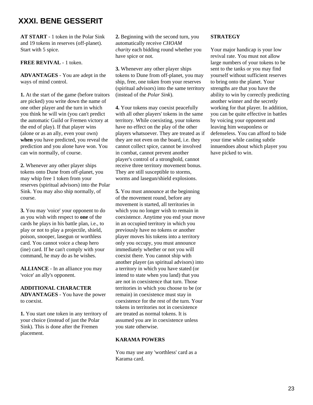## **XXXI. BENE GESSERIT**

**AT START** - 1 token in the Polar Sink and 19 tokens in reserves (off-planet). Start with 5 spice.

**FREE REVIVAL** - 1 token.

**ADVANTAGES** - You are adept in the ways of mind control.

**1.** At the start of the game (before traitors are picked) you write down the name of one other player and the turn in which you think he will win (you can't predict the automatic Guild or Fremen victory at the end of play). If that player wins (alone or as an ally, even your own) **when** you have predicted, you reveal the prediction and you alone have won. You can win normally, of course.

**2.** Whenever any other player ships tokens onto Dune from off-planet, you may whip free 1 token from your reserves (spiritual advisors) into the Polar Sink. You may also ship normally, of course.

**3.** You may 'voice' your opponent to do as you wish with respect to **one** of the cards he plays in his battle plan, i.e., to play or not to play a projectile, shield, poison, snooper, lasegun or worthless card. You cannot voice a cheap hero (ine) card. If he can't comply with your command, he may do as he wishes.

**ALLIANCE** - In an alliance you may 'voice' an ally's opponent.

#### **ADDITIONAL CHARACTER**

**ADVANTAGES** - You have the power to coexist.

**1.** You start one token in any territory of your choice (instead of just the Polar Sink). This is done after the Fremen placement.

**2.** Beginning with the second turn, you automatically receive *CHOAM charity* each bidding round whether you have spice or not.

**3.** Whenever any other player ships tokens to Dune from off-planet, you may ship, free, one token from your reserves (spiritual advisors) into the same territory (instead of the *Polar Sink*).

**4.** Your tokens may coexist peacefully with all other players' tokens in the same territory. While coexisting, your tokens have no effect on the play of the other players whatsoever. They are treated as if they are not even on the board, i.e. they cannot collect spice, cannot be involved in combat, cannot prevent another player's control of a stronghold, cannot receive three territory movement bonus. They are still susceptible to storms, worms and lasegun/shield explosions.

**5.** You must announce at the beginning of the movement round, before any movement is started, all territories in which you no longer wish to remain in coexistence. Anytime you end your move in an occupied territory in which you previously have no tokens or another player moves his tokens into a territory only you occupy, you must announce immediately whether or not you will coexist there. You cannot ship with another player (as spiritual advisors) into a territory in which you have stated (or intend to state when you land) that you are not in coexistence that turn. Those territories in which you choose to be (or remain) in coexistence must stay in coexistence for the rest of the turn. Your tokens in territories not in coexistence are treated as normal tokens. It is assumed you are in coexistence unless you state otherwise.

#### **KARAMA POWERS**

You may use any 'worthless' card as a Karama card.

#### **STRATEGY**

Your major handicap is your low revival rate. You must not allow large numbers of your tokens to be sent to the tanks or you may find yourself without sufficient reserves to bring onto the planet. Your strengths are that you have the ability to win by correctly predicting another winner and the secretly working for that player. In addition, you can be quite effective in battles by voicing your opponent and leaving him weaponless or defenseless. You can afford to bide your time while casting subtle innuendoes about which player you have picked to win.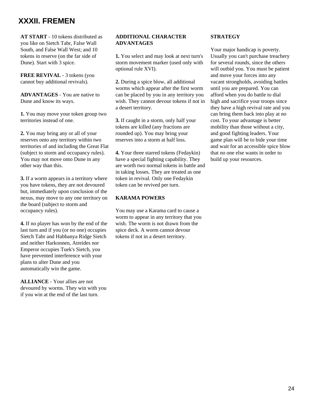## **XXXII. FREMEN**

**AT START** - 10 tokens distributed as you like on Sietch Tabr, False Wall South, and False Wall West; and 10 tokens in reserve (on the far side of Dune). Start with 3 spice.

**FREE REVIVAL** - 3 tokens (you cannot buy additional revivals).

**ADVANTAGES** - You are native to Dune and know its ways.

**1.** You may move your token group two territories instead of one.

**2.** You may bring any or all of your reserves onto any territory within two territories of and including the Great Flat (subject to storm and occupancy rules). You may not move onto Dune in any other way than this.

**3.** If a worm appears in a territory where you have tokens, they are not devoured but, immediately upon conclusion of the nexus, may move to any one territory on the board (subject to storm and occupancy rules).

**4.** If no player has won by the end of the last turn and if you (or no one) occupies Sietch Tabr and Habbanya Ridge Sietch and neither Harkonnen, Atreides nor Emperor occupies Tuek's Sietch, you have prevented interference with your plans to alter Dune and you automatically win the game.

**ALLIANCE** - Your allies are not devoured by worms. They win with you if you win at the end of the last turn.

#### **ADDITIONAL CHARACTER ADVANTAGES**

**1.** You select and may look at next turn's storm movement marker (used only with optional rule XVI).

**2.** During a spice blow, all additional worms which appear after the first worm can be placed by you in any territory you wish. They cannot devour tokens if not in a desert territory.

**3.** If caught in a storm, only half your tokens are killed (any fractions are rounded up). You may bring your reserves into a storm at half loss.

**4.** Your three starred tokens (Fedaykin) have a special fighting capability. They are worth two normal tokens in battle and in taking losses. They are treated as one token in revival. Only one Fedaykin token can be revived per turn.

#### **KARAMA POWERS**

You may use a Karama card to cause a worm to appear in any territory that you wish. The worm is not drawn from the spice deck. A worm cannot devour tokens if not in a desert territory.

#### **STRATEGY**

Your major handicap is poverty. Usually you can't purchase treachery for several rounds, since the others will outbid you. You must be patient and move your forces into any vacant strongholds, avoiding battles until you are prepared. You can afford when you do battle to dial high and sacrifice your troops since they have a high revival rate and you can bring them back into play at no cost. To your advantage is better mobility than those without a city, and good fighting leaders. Your game plan will be to bide your time and wait for an accessible spice blow that no one else wants in order to build up your resources.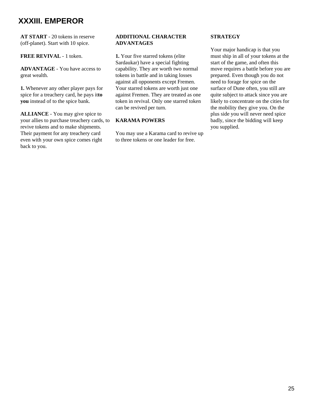## **XXXIII. EMPEROR**

**AT START** - 20 tokens in reserve (off-planet). Start with 10 spice.

#### **FREE REVIVAL** - 1 token.

**ADVANTAGE** - You have access to great wealth.

**1.** Whenever any other player pays for spice for a treachery card, he pays it**to you** instead of to the spice bank.

**ALLIANCE** - You may give spice to your allies to purchase treachery cards, to revive tokens and to make shipments. Their payment for any treachery card even with your own spice comes right back to you.

#### **ADDITIONAL CHARACTER ADVANTAGES**

**1.** Your five starred tokens (elite Sardaukar) have a special fighting capability. They are worth two normal tokens in battle and in taking losses against all opponents except Fremen. Your starred tokens are worth just one against Fremen. They are treated as one token in revival. Only one starred token can be revived per turn.

#### **KARAMA POWERS**

You may use a Karama card to revive up to three tokens or one leader for free.

#### **STRATEGY**

Your major handicap is that you must ship in all of your tokens at the start of the game, and often this move requires a battle before you are prepared. Even though you do not need to forage for spice on the surface of Dune often, you still are quite subject to attack since you are likely to concentrate on the cities for the mobility they give you. On the plus side you will never need spice badly, since the bidding will keep you supplied.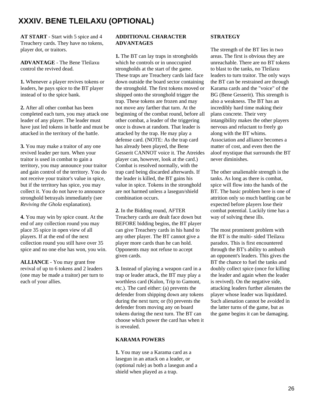## **XXXIV. BENE TLEILAXU (OPTIONAL)**

**AT START** - Start with 5 spice and 4 Treachery cards. They have no tokens, player dot, or traitors.

**ADVANTAGE** - The Bene Tleilaxu control the revived dead.

**1.** Whenever a player revives tokens or leaders, he pays spice to the BT player instead of to the spice bank.

**2.** After all other combat has been completed each turn, you may attack one leader of any player. The leader must have just led tokens in battle and must be attacked in the territory of the battle.

**3.** You may make a traitor of any one revived leader per turn. When your traitor is used in combat to gain a territory, you may announce your traitor and gain control of the territory. You do not receive your traitor's value in spice, but if the territory has spice, you may collect it. You do not have to announce stronghold betrayals immediately (see *Reviving the Ghola* explanation).

**4.** You may win by spice count. At the end of any collection round you may place 35 spice in open view of all players. If at the end of the next collection round you still have over 35 spice and no one else has won, you win.

**ALLIANCE** - You may grant free revival of up to 6 tokens and 2 leaders (one may be made a traitor) per turn to each of your allies.

#### **ADDITIONAL CHARACTER ADVANTAGES**

**1.** The BT can lay traps in strongholds which he controls or in unoccupied strongholds at the start of the game. These traps are Treachery cards laid face down outside the board sector containing the stronghold. The first tokens moved or shipped onto the stronghold trigger the trap. These tokens are frozen and may not move any farther that turn. At the beginning of the combat round, before all other combat, a leader of the triggering once is drawn at random. That leader is attacked by the trap. He may play a defense card. (NOTE: As the trap card has already been played, the Bene Gesserit CANNOT voice it. The Atreides player can, however, look at the card.) Combat is resolved normally, with the trap card being discarded afterwards. If the leader is killed, the BT gains his value in spice. Tokens in the stronghold are not harmed unless a lasegun/shield combination occurs.

**2.** In the Bidding round, AFTER Treachery cards are dealt face down but BEFORE bidding begins, the BT player can give Treachery cards in his hand to any other player. The BT cannot give a player more cards than he can hold. Opponents may not refuse to accept given cards.

**3.** Instead of playing a weapon card in a trap or leader attack, the BT may play a worthless card (Kulon, Trip to Gamont, etc.). The card either: (a) prevents the defender from shipping down any tokens during the next turn; or (b) prevents the defender from moving any on board tokens during the next turn. The BT can choose which power the card has when it is revealed.

#### **KARAMA POWERS**

**1.** You may use a Karama card as a lasegun in an attack on a leader, or (optional rule) as both a lasegun and a shield when played as a trap.

#### **STRATEGY**

The strength of the BT lies in two areas. The first is obvious they are unreachable. There are no BT tokens to blast to the tanks, no Tleilaxu leaders to turn traitor. The only ways the BT can be restrained are through Karama cards and the "voice" of the BG (Bene Gesserit). This strength is also a weakness. The BT has an incredibly hard time making their plans concrete. Their very intangibility makes the other players nervous and reluctant to freely go along with the BT whims. Association and alliance becomes a matter of cost, and even then the aloof mystique that surrounds the BT never diminishes.

The other unalienable strength is the tanks. As long as there is combat, spice will flow into the hands of the BT. The basic problem here is one of attrition only so much battling can be expected before players lose their combat potential. Luckily time has a way of solving these ills.

The most prominent problem with the BT is the multi- sided Tleilaxu paradox. This is first encountered through the BT's ability to ambush an opponent's leaders. This gives the BT the chance to fuel the tanks and doubly collect spice (once for killing the leader and again when the leader is revived). On the negative side, attacking leaders further alienates the player whose leader was liquidated. Such alienation cannot be avoided in the latter turns of the game, but as the game begins it can be damaging.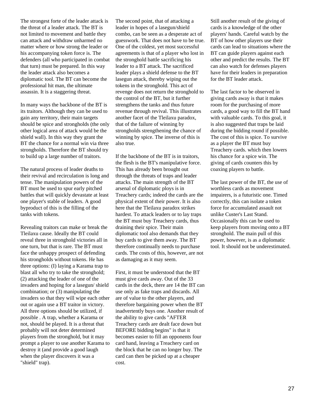The strongest forte of the leader attack is the threat of a leader attack. The BT is not limited to movement and battle they can attack and withdraw unharmed no matter where or how strong the leader or his accompanying token force is. The defenders (all who participated in combat that turn) must be prepared. In this way the leader attack also becomes a diplomatic tool. The BT can become the professional hit man, the ultimate assassin. It is a staggering threat.

In many ways the backbone of the BT is its traitors. Although they can be used to gain any territory, their main targets should be spice and strongholds (the only other logical area of attack would be the shield wall). In this way they grant the BT the chance for a normal win via three strongholds. Therefore the BT should try to build up a large number of traitors.

The natural process of leader deaths to their revival and recirculation is long and tense. The manipulation powers of the BT must be used to spur early pitched battles that will quickly devastate at least one player's stable of leaders. A good byproduct of this is the filling of the tanks with tokens.

Revealing traitors can make or break the Tleilaxu cause. Ideally the BT could reveal three in stronghold victories all in one turn, but that is rare. The BT must face the unhappy prospect of defending his strongholds without tokens. He has three options: (I) laying a Karama trap to blast all who try to take the stronghold; (2) attacking the leader of one of the invaders and hoping for a lasegun/ shield combination; or (3) manipulating the invaders so that they will wipe each other out or again use a BT traitor in victory. All three options should be utilized, if possible . A trap, whether a Karama or not, should be played. It is a threat that probably will not deter determined players from the stronghold, but it may prompt a player to use another Karama to destroy it (and provide a good laugh when the player discovers it was a "shield" trap).

The second point, that of attacking a leader in hopes of a lasegun/shield combo, can be seen as a desperate act of guesswork. That does not have to be true. One of the coldest, yet most successful agreements is that of a player who lost in the stronghold battle sacrificing his leader to a BT attack. The sacrificed leader plays a shield defense to the BT lasegun attack, thereby wiping out the tokens in the stronghold. This act of revenge does not return the stronghold to the control of the BT, but it further strengthens the tanks and thus future revenue through revival. This illustrates another facet of the Tleilaxu paradox, that of the failure of winning by strongholds strengthening the chance of winning by spice. The inverse of this is also true.

If the backbone of the BT is in traitors, the flesh is the BT's manipulative force. This has already been brought out through the threats of traps and leader attacks. The main strength of the BT arsenal of diplomatic ploys is in Treachery cards; indeed the cards are the physical extent of their power. It is also here that the Tleilaxu paradox strikes hardest. To attack leaders or to lay traps the BT must buy Treachery cards, thus draining their spice. Their main diplomatic tool also demands that they buy cards to give them away. The BT therefore continually needs to purchase cards. The costs of this, however, are not as damaging as it may seem.

First, it must be understood that the BT must give cards away. Out of the 33 cards in the deck, there are 14 the BT can use only as fake traps and discards. All are of value to the other players, and therefore bargaining power when the BT inadvertently buys one. Another result of the ability to give cards "AFTER Treachery cards are dealt face down but BEFORE bidding begins" is that it becomes easier to fill an opponents four card hand, leaving a Treachery card on the block that he can no longer buy. The card can then be picked up at a cheaper cost.

Still another result of the giving of cards is a knowledge of the other players' hands. Careful watch by the BT of how other players use their cards can lead to situations where the BT can guide players against each other and predict the results. The BT can also watch for defenses players have for their leaders in preparation for the BT leader attack.

The last factor to be observed in giving cards away is that it makes room for the purchasing of more cards, a good way to fill the BT hand with valuable cards. To this goal, it is also suggested that traps be laid during the bidding round if possible. The cost of this is spice. To survive as a player the BT must buy Treachery cards. which then lowers his chance for a spice win. The giving of cards counters this by coaxing players to battle.

The last power of the BT, the use of worthless cards as movement impairers, is a futuristic one. Timed correctly, this can isolate a token force for accumulated assault not unlike Custer's Last Stand. Occasionally this can be used to keep players from moving onto a BT stronghold. The main pull of this power, however, is as a diplomatic tool. It should not be underestimated.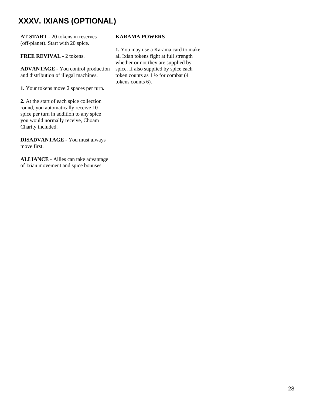## **XXXV. IXIANS (OPTIONAL)**

**AT START** - 20 tokens in reserves (off-planet). Start with 20 spice.

#### **FREE REVIVAL** - 2 tokens.

**ADVANTAGE** - You control production and distribution of illegal machines.

**1.** Your tokens move 2 spaces per turn.

**2.** At the start of each spice collection round, you automatically receive 10 spice per turn in addition to any spice you would normally receive, Choam Charity included.

**DISADVANTAGE** - You must always move first.

**ALLIANCE** - Allies can take advantage of Ixian movement and spice bonuses.

#### **KARAMA POWERS**

**1.** You may use a Karama card to make all Ixian tokens fight at full strength whether or not they are supplied by spice. If also supplied by spice each token counts as 1 ½ for combat (4 tokens counts 6).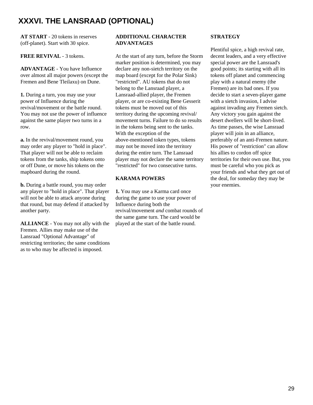## **XXXVI. THE LANSRAAD (OPTIONAL)**

**AT START** - 20 tokens in reserves (off-planet). Start with 30 spice.

#### **FREE REVIVAL** - 3 tokens.

**ADVANTAGE** - You have Influence over almost all major powers (except the Fremen and Bene Tleilaxu) on Dune.

**1.** During a turn, you may use your power of Influence during the revival/movement or the battle round. You may not use the power of influence against the same player two turns in a row.

**a.** In the revival/movement round, you may order any player to "hold in place". That player will not be able to reclaim tokens from the tanks, ship tokens onto or off Dune, or move his tokens on the mapboard during the round.

**b.** During a battle round, you may order any player to "hold in place". That player will not be able to attack anyone during that round, but may defend if attacked by another party.

**ALLIANCE** - You may not ally with the Fremen. Allies may make use of the Lansraad "Optional Advantage" of restricting territories; the same conditions as to who may be affected is imposed.

#### **ADDITIONAL CHARACTER ADVANTAGES**

At the start of any turn, before the Storm marker position is determined, you may declare any non-sietch territory on the map board (except for the Polar Sink) "restricted". AU tokens that do not belong to the Lansraad player, a Lansraad-allied player, the Fremen player, or are co-existing Bene Gesserit tokens must be moved out of this territory during the upcoming revival/ movement turns. Failure to do so results in the tokens being sent to the tanks. With the exception of the above-mentioned token types, tokens may not be moved into the territory during the entire turn. The Lansraad player may not declare the same territory "restricted" for two consecutive turns.

#### **KARAMA POWERS**

**1.** You may use a Karma card once during the game to use your power of Influence during both the revival/movement *and* combat rounds of the same game turn. The card would be played at the start of the battle round.

#### **STRATEGY**

Plentiful spice, a high revival rate, decent leaders, and a very effective special power are the Lansraad's good points; its starting with all its tokens off planet and commencing play with a natural enemy (the Fremen) are its bad ones. If you decide to start a seven-player game with a sietch invasion, I advise against invading any Fremen sietch. Any victory you gain against the desert dwellers will be short-lived. As time passes, the wise Lansraad player will join in an alliance, preferably of an anti-Fremen nature. His power of "restriction" can allow his allies to cordon off spice territories for their own use. But, you must be careful who you pick as your friends and what they get out of the deal, for someday they may be your enemies.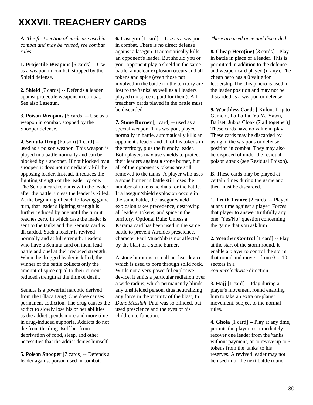# **XXXVII. TREACHERY CARDS**

**A.** *The first section of cards are used in combat and may be reused, see combat rules*

**1. Projectile Weapons** [6 cards] -- Use as a weapon in combat, stopped by the Shield defense.

**2. Shield** [7 cards] -- Defends a leader against projectile weapons in combat. See also Lasegun.

**3. Poison Weapons** [6 cards] -- Use as a weapon in combat, stopped by the Snooper defense.

**4. Semuta Drug** (Poison) [1 card] - used as a poison weapon. This weapon is played in a battle normally and can be blocked by a snooper. If not blocked by a snooper, it does not immediately kill the opposing leader. Instead, it reduces the fighting strength of the leader by one. The Semuta card remains with the leader after the battle, unless the leader is killed. At the beginning of each following game turn, that leader's fighting strength is further reduced by one until the turn it reaches zero, in which case the leader is sent to the tanks and the Semuta card is discarded. Such a leader is revived normally and at full strength. Leaders who have a Semuta card on them lead battle and duel at their reduced strength. When the drugged leader is killed, the winner of the battle collects only the amount of spice equal to their current reduced strength at the time of death.

Semuta is a powerful narcotic derived from the Ellaca Drug. One dose causes permanent addiction. The drug causes the addict to slowly lose his or her abilities as the addict spends more and more time in drug-induced euphoria. Addicts do not die from the drug itself but from deprivation of food, sleep, and other necessities that the addict denies himself.

**5. Poison Snooper** [7 cards] -- Defends a leader against poison used in combat.

**6. Lasegun** [1 card] -- Use as a weapon in combat. There is no direct defense against a lasegun. It automatically kills an opponent's leader. But should you or your opponent play a shield in the same battle, a nuclear explosion occurs and all tokens and spice (even those not involved in the battle) in the territory are lost to the 'tanks' as well as all leaders played (no spice is paid for them). All treachery cards played in the battle must be discarded.

**7. Stone Burner** [1 card] -- used as a special weapon. This weapon, played normally in battle, automatically kills an opponent's leader and all of his tokens in the territory, plus the friendly leader. Both players may use shields to protect their leaders against a stone burner, but all of the opponent's tokens are still removed to the tanks. A player who uses a stone burner in battle still loses the number of tokens he dials for the battle. If a lasegun/shield explosion occurs in the same battle, the lasegun/shield explosion takes precedence, destroying all leaders, tokens, and spice in the territory. Optional Rule: Unless a Karama card has been used in the same battle to prevent Atreides prescience, character Paul Muad'dib is not affected by the blast of a stone burner.

A stone burner is a small nuclear device which is used to bore through solid rock. While not a very powerful explosive device, it emits a particular radiation over a wide radius, which permanently blinds any unshielded person, thus neutralizing any force in the vicinity of the blast, In *Dune Messiah*, Paul was so blinded, but used prescience and the eyes of his children to function.

#### *These are used once and discarded:*

**8. Cheap Hero(ine)** [3 cards]-- Play in battle in place of a leader. This is permitted in addition to the defense and weapon card played (if any). The cheap hero has a 0 value for leadership The cheap hero is used in the leader position and may not be discarded as a weapon or defense.

**9. Worthless Cards** [ Kulon, Trip to Gamont, La La La, Ya Ya Yawn, Baliset, Jubba Cloak (7 all together)] These cards have no value in play. These cards may be discarded by using in the weapons or defense position in combat. They may also be disposed of under the residual poison attack (see Residual Poison).

**B.** These cards may be played at certain times during the game and then must be discarded.

**1. Truth Trance** [2 cards] -- Played at any time against a player. Forces that player to answer truthfully any one "Yes/No" question concerning the game that you ask him.

**2. Weather Control** [1 card] -- Play at the start of the storm round, it enable a player to control the storm that round and move it from 0 to 10 sectors in a

*counterclockwise* direction.

**3. Hajj** [1 card] -- Play during a player's movement round enabling him to take an extra on-planet movement, subject to the normal rules.

**4. Ghola** [1 card] -- Play at any time, permits the player to immediately recover one leader from the 'tanks' without payment, or to revive up to 5 tokens from the 'tanks' to his reserves. A revived leader may not be used until the next battle round.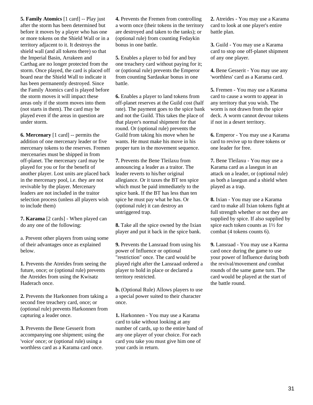**5. Family Atomics** [1 card] -- Play just after the storm has been determined but before it moves by a player who has one or more tokens on the Shield Wall or in a territory adjacent to it. It destroys the shield wall (and all tokens there) so that the Imperial Basin, Arrakeen and Carthag are no longer protected from the storm. Once played, the card is placed off board near the Shield Wall to indicate it has been permanently destroyed. Since the Family Atomics card is played before the storm moves it will impact these areas only if the storm moves into them (not starts in them). The card may be played even if the areas in question are under storm.

**6. Mercenary** [1 card] -- permits the addition of one mercenary leader or five mercenary tokens to the reserves. Fremen mercenaries must be shipped in from off-planet. The mercenary card may be played for you or for the benefit of another player. Lost units are placed back in the mercenary pool, i.e. they are not revivable by the player. Mercenary leaders are not included in the traitor selection process (unless all players wish to include them)

**7. Karama** [2 cards] - When played can do any one of the following:

a. Prevent other players from using some of their advantages once as explained below.

**1.** Prevents the Atreides from seeing the future, once; or (optional rule) prevents the Atreides from using the Kwisatz Haderach once.

**2.** Prevents the Harkonnen from taking a second free treachery card, once; or (optional rule) prevents Harkonnen from capturing a leader once.

**3.** Prevents the Bene Gesserit from accompanying one shipment; using the 'voice' once; or (optional rule) using a worthless card as a Karama card once.

**4.** Prevents the Fremen from controlling a worm once (their tokens in the territory are destroyed and taken to the tanks); or (optional rule) from counting Fedaykin bonus in one battle.

**5.** Enables a player to bid for and buy one treachery card without paying for it; or (optional rule) prevents the Emperor from counting Sardaukar bonus in one battle.

**6.** Enables a player to land tokens from off-planet reserves at the Guild cost (half rate). The payment goes to the spice bank and not the Guild. This takes the place of that player's normal shipment for that round. Or (optional rule) prevents the Guild from taking his move when he wants. He must make his move in his proper turn in the movement sequence.

**7.** Prevents the Bene Tleilaxu from announcing a leader as a traitor. The leader reverts to his/her original allegiance. Or it taxes the BT ten spice which must be paid immediately to the spice bank. If the BT has less than ten spice he must pay what he has. Or (optional rule) it can destroy an untriggered trap.

**8.** Take all the spice owned by the Ixian player and put it back in the spice bank.

**9.** Prevents the Lansraad from using his power of Influence or optional "restriction" once. The card would be played right after the Lansraad ordered a player to hold in place or declared a territory restricted.

**b.** (Optional Rule) Allows players to use a special power suited to their character once.

**1.** Harkonnen - You may use a Karama card to take without looking at any number of cards, up to the entire hand of any one player of your choice. For each card you take you must give him one of your cards in return.

**2.** Atreides - You may use a Karama card to look at one player's entire battle plan.

**3.** Guild - You may use a Karama card to stop one off-planet shipment of any one player.

**4.** Bene Gesserit - You may use any 'worthless' card as a Karama card.

**5.** Fremen - You may use a Karama card to cause a worm to appear in any territory that you wish. The worm is not drawn from the spice deck. A worm cannot devour tokens if not in a desert territory.

**6.** Emperor - You may use a Karama card to revive up to three tokens or one leader for free.

**7.** Bene Tleilaxu - You may use a Karama card as a lasegun in an attack on a leader, or (optional rule) as both a lasegun and a shield when played as a trap.

**8.** Ixian - You may use a Karama card to make all Ixian tokens fight at full strength whether or not they are supplied by spice. If also supplied by spice each token counts as 1½ for combat (4 tokens counts 6).

**9.** Lansraad - You may use a Karma card once during the game to use your power of Influence during both the revival/movement *and* combat rounds of the same game turn. The card would be played at the start of the battle round.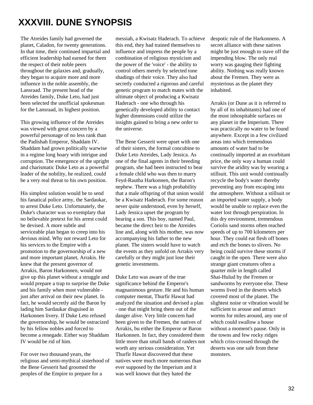# **XXXVIII. DUNE SYNOPSIS**

The Atreides family had governed the planet, Caladon, for twenty generations. In that time, their continued impartial and efficient leadership had earned for them the respect of their noble peers throughout the galaxies and, gradually, they began to acquire more and more influence in the noble assembly, the Lansraad. The present head of the Atreides family, Duke Leto, had just been selected the unofficial spokesman for the Lansraad, its highest position.

This growing influence of the Atreides was viewed with great concern by a powerful personage of no less rank than the Padishah Emperor, Shaddam IV. Shaddam had grown politically warwise in a regime long hoary with intrigue and corruption. The emergence of the upright and charismatic Duke Leto as a powerful leader of the nobility, he realized, could be a very real threat to his own position.

His simplest solution would be to send his fanatical police army, the Sardaukar, to arrest Duke Leto. Unfortunately, the Duke's character was so exemplary that no believable pretext for his arrest could be devised. A more subtle and serviceable plan began to creep into his devious mind. Why not reward Leto for his services to the Empire with a promotion to the governorship of a new and more important planet, Arrakis. He knew that the present governor of Arrakis, Baron Harkonnen, would not give up this planet without a struggle and would prepare a trap to surprise the Duke and his family when most vulnerable just after arrival on their new planet. In fact, he would secretly aid the Baron by lading him Sardaukar disguised in Harkonnen livery. If Duke Leto refused the governorship, he would be ostracized by his fellow nobles and forced to become a renegade. Either way Shaddam IV would be rid of him.

For over two thousand years, the religious and semi-mythical sisterhood of the Bene Gesserit had groomed the peoples of the Empire to prepare for a

messiah, a Kwisatz Haderach. To achieve this end, they had trained themselves to influence and impress the people by a combination of religious mysticism and the power of the 'voice' - the ability to control others merely by selected tone shadings of their voice. They also had secretly conducted a rigorous and careful genetic program to match mates with the ultimate object of producing a Kwisatz Haderach - one who through his genetically developed ability to contact higher dimensions could utilize the insights gained to bring a new order to the universe.

The Bene Gesserit were upset with one of their sisters, the formal concubine to Duke Leto Atreides, Lady Jessica. As one of the final agents in their breeding program, she had been instructed to bear a female child who was then to marry Feyd-Rautha Harkonnen, the Baron's nephew. There was a high probability that a male offspring of that union would be a Kwisatz Haderach. For some reason never quite understood, even by herself, Lady Jessica upset the program by bearing a son. This boy, named Paul, became the direct heir to the Atreides line and, along with his mother, was now accompanying his father to the new planet. The sisters would have to watch the events as they unfold on Arrakis very carefully or they might just lose their genetic investments.

Duke Leto was aware of the true significance behind the Emperor's magnanimous gesture. He and his human computer mentat, Thurfir Hawat had analyzed the situation and devised a plan - one that might bring them out of the danger alive. Very little concern had been given to the Fremen, the natives of Arrakis, bu either the Emperor or Baron Harkonnen. In fact, they considered them little more than small bands of raiders not worth any serious consideration. Yet Thurfir Hawat discovered that these natives were much more numerous than ever supposed by the Imperium and it was well known that they hated the

despotic rule of the Harkonnens. A secret alliance with these natives might be just enough to stave off the impending blow. The only real worry was gauging their fighting ability. Nothing was really known about the Fremen. They were as mysterious as the planet they inhabited.

Arrakis (or Dune as it is referred to by all of its inhabitants) had one of the most inhospitable surfaces on any planet in the Imperium. There was practically no water to be found anywhere. Except in a few civilized areas into which tremendous amounts of water had to be continually imported at an exorbitant price, the only way a human could survive the aridity was by wearing a stillsuit. This unit would continually recycle the body's water thereby preventing any from escaping into the atmosphere. Without a stillsuit or an imported water supply, a body would be unable to replace even the water lost through perspiration. In this dry environment, tremendous Coriolis sand storms often reached speeds of up to 700 kilometers per hour. They could eat flesh off bones and etch the bones to slivers. No being could survive these storms if caught in the open. There were also strange giant creatures often a quarter mile in length called Shai-Hulud by the Fremen or sandworms by everyone else. These worms lived in the deserts which covered most of the planet. The slightest noise or vibration would be sufficient to arouse and attract worms for miles around, any one of which could swallow a house without a moment's pause. Only in the towns and few rocky ridges which criss-crossed through the deserts was one safe from these monsters.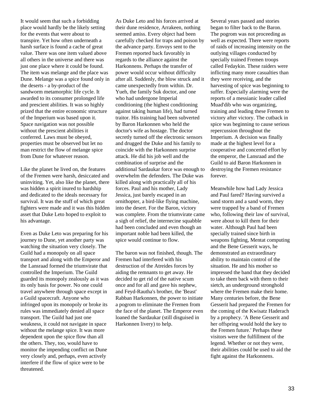It would seem that such a forbidding place would hardly be the likely setting for the events that were about to transpire. Yet how often underneath a harsh surface is found a cache of great value. There was one item valued above all others in the universe and there was just one place where it could be found. The item was melange and the place was Dune. Melange was a spice found only in the deserts - a by-product of the sandworm metamorphic life cycle. It awarded to its consumer prolonged life and prescient abilities. It was so highly prized that the entire economic structure of the Imperium was based upon it. Space navigation was not possible without the prescient abilities it conferred. Laws must be obeyed, properties must be observed but let no man restrict the flow of melange spice from Dune for whatever reason.

Like the planet he lived on, the features of the Fremen were harsh, desiccated and uninviting. Yet, also like the planet, there was hidden a spirit inured to hardship and dedicated to the ideals necessary for survival. It was the stuff of which great fighters were made and it was this hidden asset that Duke Leto hoped to exploit to his advantage.

Even as Duke Leto was preparing for his journey to Dune, yet another party was watching the situation very closely. The Guild had a monopoly on all space transport and along with the Emperor and the Lansraad formed the triumvirate that controlled the Imperium. The Guild guarded its monopoly zealously as it was its only basis for power. No one could travel anywhere through space except in a Guild spacecraft. Anyone who infringed upon its monopoly or broke its rules was immediately denied all space transport. The Guild had just one weakness, it could not navigate in space without the melange spice. It was more dependent upon the spice flow than all the others. They, too, would have to monitor the impending conflict on Dune very closely and, perhaps, even actively interfere if the flow of spice were to be threatened.

As Duke Leto and his forces arrived at their dune residence, Arrakeen, nothing seemed amiss. Every object had been carefully checked for traps and poison by the advance party. Envoys sent to the Fremen reported back favorably in regards to the alliance against the Harkonnens. Perhaps the transfer of power would occur without difficulty after all. Suddenly, the blow struck and it came unexpectedly from within. Dr. Yueh, the family Suk doctor, and one who had undergone Imperial conditioning (the highest conditioning against taking human life), had turned traitor. His training had been subverted by Baron Harkonnen who held the doctor's wife as hostage. The doctor secretly turned off the electronic sensors and drugged the Duke and his family to coincide with the Harkonnen surprise attack. He did his job well and the combination of surprise and the additional Sardaukar force was enough to overwhelm the defenders. The Duke was killed along with practically all of his forces. Paul and his mother, Lady Jessica, just barely escaped in an ornithopter, a bird-like flying machine, into the desert. For the Baron, victory was complete. From the triumvirate came a sigh of relief, the internecine squabble had been concluded and even though an important noble had been killed, the spice would continue to flow.

The baron was not finished, though. The Fremen had interfered with his destruction of the Atreides forces by aiding the remnants to get away. He decided to get rid of the native scum once and for all and gave his nephew, and Feyd-Rautha's brother, the 'Beast' Rabban Harkonnen, the power to initiate a pogrom to eliminate the Fremen from the face of the planet. The Emperor even loaned the Sardaukar (still disguised in Harkonnen livery) to help.

Several years passed and stories began to filter back to the Baron. The pogrom was not proceeding as well as expected. There were reports of raids of increasing intensity on the outlying villages conducted by specially trained Fremen troops called Fedaykin. These raiders were inflicting many more casualties than they were receiving, and the harvesting of spice was beginning to suffer. Especially alarming were the reports of a messianic leader called Muad'dib who was organizing, training and leading these Fremen to victory after victory. The cutback in spice was beginning to cause serious repercussion throughout the Imperium. A decision was finally made at the highest level for a cooperative and concerted effort by the emperor, the Lansraad and the Guild to aid Baron Harkonnen in destroying the Fremen resistance forever.

Meanwhile how had Lady Jessica and Paul fared? Having survived a sand storm and a sand worm, they were trapped by a band of Fremen who, following their law of survival, were about to kill them for their water. Although Paul had been specially trained since birth in weapons fighting, Mentat computing and the Bene Gesserit ways, he demonstrated an extraordinary ability to maintain control of the situation. He and his mother so impressed the band that they decided to take them back with them to their sietch, an underground stronghold where the Fremen make their home. Many centuries before, the Bene Gesserit had prepared the Fremen for the coming of the Kwisatz Haderach by a prophecy. 'A Bene Gesserit and her offspring would hold the key to the Fremen future.' Perhaps these visitors were the fulfillment of the legend. Whether or not they were, their abilities could be used to aid the fight against the Harkonnens.